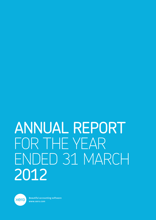# ANNUAL REPORT FOR THE YEAR ENDED 31 MARCH 2012



Beautiful accounting software www.xero.com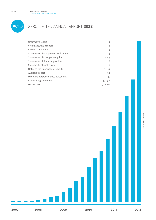

# XERO LIMITED ANNUAL REPORT **2012**

| Chairman's report                     | 1         |
|---------------------------------------|-----------|
| Chief Executive's report              | 2         |
| Income statements                     | 3         |
| Statements of comprehensive income    | 3         |
| Statements of changes in equity       | $4 - 5$   |
| Statements of financial position      | 6         |
| Statements of cash flows              |           |
| Notes to the financial statements     | $8 - 33$  |
| Auditors' report                      | 34        |
| Directors' responsibilities statement | 35        |
| Corporate governance                  | $35 - 36$ |
| <b>Disclosures</b>                    | $37 - 40$ |



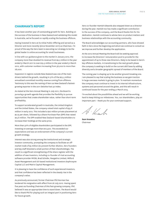# **CHAIRMAN'S REPORT**

It has been another year of outstanding growth for Xero. Building on the success of the business in New Zealand and validating this model in Australia, we've focused on rapidly scaling the business offshore.

Having invested in Xero at its Initial Public Offering and served as a Director and more recently (since November 2011) as Chairman, I'm proud of the way the Xero team is executing our strategy to be the global leader in online accounting for small businesses.

In line with our guidance given to the market in January 2012, the company more than doubled its revenue from \$9.3 million in the year ended 31 March 2011 to over \$19.3 million in the year ended 31 March 2012, with customer numbers increasing from 36,000 to more than 78,000.

Expansion in regions outside New Zealand was one of the main drivers behind the growth, resulting in 51% of the \$25.5 million annualised committed monthly revenue coming from offshore. Testimony to this was the naming of Xero as New Zealand's fastestgrowing exporter in the 2011 Deloitte Fast 50 Index.

As stated at the Xero Annual Meeting in July 2011, the Board is pursuing a growth agenda that provides the flexibility to pursue opportunities that create shareholder value, rather than short-term profitability.

To support accelerated growth in Australia, the United Kingdom and the United States, the company raised total capital of \$35.6 million in early 2012. This included a \$20 million private placement at \$2.75 per share, followed by a Share Purchase Plan (SPP) that raised \$15.6 million. The SPP enabled New Zealand-based shareholders to increase their holdings at the same price.

More than 50% of eligible shareholders participated in the SPP, investing on average more than \$10,500. This exceeded our expectations and was an endorsement of the company's current growth strategy.

Interest was also strong among the institutional and strategic investor community, prompting the company to facilitate an offmarket trade of \$5 million (to prevent further dilution, Xero founders and key staff divested a small portion of their shareholdings). The result is a significant strengthening of the share register with the addition of new investors, including co-founder of rival accounting software provider MYOB, Brad Schofer, Rangatira Limited, Milford Asset Management and US-based institutional investors Sophrosyne Capital LLC and Matrix Capital Management.

It is pleasing to have the confidence of such experienced investors, and that confidence has been reflected in the steady rise in the company's value.

As previously announced, former Chairman Phil Norman has tendered his resignation with effect from 26 July 2012. Having spent five years as founding Chairman of this fast-growing company, Phil believed it was an appropriate time to stand down. The Board would like to thank Phil for playing such an integral part in positioning Xero for future growth.

Xero co-founder Hamish Edwards also stepped down as a Director during the year. Hamish too has made a significant contribution to the success of the company, and the Board thanks him for his dedication. Hamish continues to advise Xero on product matters and business relationships with the accounting community.

The Board acknowledges our accounting partners, who have showed faith in Xero since the beginning and whom we continue to consult as we improve and further develop the application.

At the 2012 Annual Meeting the Board will be seeking approval to increase the Directors' remuneration pool to provide for the appointment of up to three new Directors, likely to be based in Xero's key offshore markets. In transitioning to the next growth phase the company is seeking to build on the current skill base by adding diversity and a broader geographic spread of members of the Board.

The coming year is shaping up to be another ground-breaking one. I am pleased to say that scaling the business so we gain traction in large overseas markets is going to plan. To maintain momentum the company must continue to invest in its internal infrastructure, systems and personnel around the globe, and this will result in continued losses for the year ending 31 March 2013.

I'm excited about the possibilities ahead and we will be working hard to keep hitting our milestones. You, our shareholders, play an important part – thank you for your continued support.

A Knowls

**Sam Knowles** Chairman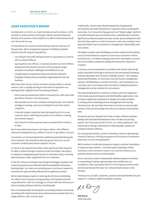# **CHIEF EXECUTIVE'S REPORT**

Looking back on 2011/12, our team has been proud to achieve a 107% increase in revenue while continuing to deliver new and enhanced features and operate a robust platform on which small businesses all over the world can rely.

It's the behind-the-scenes activities that provide the real story of the past year. We've made good progress in building a scalable infrastructure for long-term growth by:

- recruiting 81 new staff, taking the team to 194 people at 31 March, with 44 based offshore;
- opening three new offices, in Australia (Canberra), the UK (Milton Keynes) and the US (San Francisco) and moving into larger premises in Auckland, Wellington and Melbourne; and
- completing two acquisitions (Paycycle and Max Solutions Holdings Limited) and successfully integrating them into the business.

With more than 78,000 active customers and \$19 million in annual revenue, Xero is rapidly earning an international reputation as a leading vendor of global online accounting software.

- We've now processed \$100 billion in transactions, with more than \$20 billion of those in the last quarter.
- We acquired 42,000 new customers during the year. Our channel strategy is working: 3,600 accounting firms now have clients using Xero.
- Customer support enquiries have decreased by 30% on a per customer basis, reflecting the quality of our software, training and channel support.
- More than 80 solution partners have connected their solutions to Xero.

Xero's international business is starting to deliver, with offshore revenue increasing from \$3.4 million in 2010/11 to \$9 million in 2011/12.

In Australia, our Accounting Partner roadshows attracted thousands of accountants. Our Australian team has grown from 14 to 27 and customer numbers have almost tripled to 16,000.

In July 2011 we acquired Australian online payroll provider Paycycle for NZ\$1.9 million through a mixture of cash and shares. We expect to release an integrated payroll service in Australia in May, removing what has been a major impediment for our customers.

In the UK, online accounting is becoming increasingly accepted, and customer growth has accelerated with the availability of business banking feeds. Our sales and marketing team continues to expand to maximise the opportunities offered by this significant market.

We've made steady progress in entering the US since establishing our office in San Francisco and appointing a US President and well respected senior staff. Our strategy to connect with key influencers in the accounting software industry is working well.

Xero is fundamentally disrupting the accounting software industry by providing both small business and professional accountant tools on a single platform, with common data.

Traditionally, vendors have 'double dipped' by charging both accountants and small businesses for separate tools processing the same data. Our true partnering approach and 'Single Ledger' platform is transforming the way accountants work, enabling them to achieve significant productivity gains and save money. By providing them with the tools they need to run their businesses, we're also making it more likely that they'll use our products to manage their relationships with their clients.

The highly complex task of building tools that combine both business and accountant features requires an enormous investment of time and resources. It's clearly creating a barrier for new players, as we've yet to see smaller companies making the investment required to compete.

In January 2012 we expanded our portfolio even further with the \$6 million acquisition (through a mixture of cash and shares) of leading software developer Max Solutions Holdings Limited – the company behind WorkflowMax, an online job, time and invoice management solution. WorkflowMax is used by more than 1,500 businesses in 35 countries, and is now being used to provide an integrated practice management and tax solution for accountants.

The substantial growth in customer numbers, plus the integration of the newly acquired Paycycle and WorkflowMax applications, has involved a significant investment in design and implementation in scaling up the underlying service management and hosting infrastructure. We now have more than 50 servers across two data centres in the US and manage more than 50 terabytes of production data.

During the year we released more than 12 major software updates, adding new and extended features to the core Xero accounting system, Xero Personal and Xero Touch, our mobile application. We believe we're setting a benchmark in releasing high-quality and complex business software.

Our strong cash position, product innovation, focus on developing a channel of advisors, thriving ecosystem and five years of investment place Xero in a very strong position.

We'll continue to build the business to support customer acquisition in large overseas markets – and with a goal of gaining a million customers, we'll continue to invest in our internal infrastructure, systems and personnel around the globe.

At our core we're a team of passionate software people committed to responding to market opportunities more swiftly than our competitors. We truly believe that it's not the big that eat the small, but the fast that eat the slow. Our collective feet remain on the throttle!

Thank you to our staff, customers, partners and shareholders for your support in creating a significant global company.

 $RKQ$ 

**Rod Drury** Chief Executive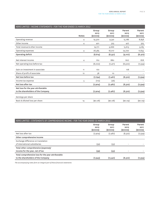| XERO LIMITED - INCOME STATEMENTS - FOR THE YEAR ENDED 31 MARCH 2012 |              |                                |                                |                                 |                                 |
|---------------------------------------------------------------------|--------------|--------------------------------|--------------------------------|---------------------------------|---------------------------------|
|                                                                     | <b>Notes</b> | Group<br>2012<br>$(s$ ooos $)$ | Group<br>2011<br>$(s$ ooos $)$ | Parent<br>2012<br>$(s$ ooos $)$ | Parent<br>2011<br>$(s$ ooos $)$ |
| Operating revenue                                                   | 4            | 19,370                         | 9,341                          | 15,186                          | 8,858                           |
| Other income                                                        | 4            | 401                            | 325                            | 427                             | 325                             |
| Total revenue & other income                                        |              | 19,771                         | 9,666                          | 15,613                          | 9,183                           |
| Operating expenses                                                  | 4            | 28,385                         | 18,017                         | 24,720                          | 17,655                          |
| Operating deficit                                                   |              | (8,614)                        | (8,351)                        | (9,107)                         | (8, 472)                        |
| Net interest income                                                 | 4            | 612                            | 880                            | 607                             | 878                             |
| Net operating loss before tax                                       |              | (8,002)                        | (7, 471)                       | (8,500)                         | (7,594)                         |
| Gain on investment in associate                                     | 11           | 170                            |                                | 178                             |                                 |
| Share of profit of associate                                        | 12           | 38                             | 10                             | $\overline{\phantom{a}}$        |                                 |
| Net loss before tax                                                 |              | (7, 794)                       | (7,461)                        | (8,322)                         | (7,594)                         |
| Income tax expense                                                  | 5            | (110)                          | (26)                           | $\overline{\phantom{0}}$        |                                 |
| Net loss after tax                                                  |              | (7,904)                        | (7, 487)                       | (8,322)                         | (7,594)                         |
| Net loss for the year attributable                                  |              |                                |                                |                                 |                                 |
| to the shareholders of the Company                                  |              | (7,904)                        | (7, 487)                       | (8,322)                         | (7,594)                         |
| Earnings per share                                                  |              |                                |                                |                                 |                                 |
| Basic & diluted loss per share                                      | 14           | (\$0.08)                       | (\$0.08)                       | (\$0.09)                        | (\$0.09)                        |

| XERO LIMITED - STATEMENTS OF COMPREHENSIVE INCOME - FOR THE YEAR ENDED 31 MARCH 2012 |                                |                                |                                 |                                 |
|--------------------------------------------------------------------------------------|--------------------------------|--------------------------------|---------------------------------|---------------------------------|
|                                                                                      | Group<br>2012<br>$(s$ ooos $)$ | Group<br>2011<br>$(s$ ooos $)$ | Parent<br>2012<br>$(s$ ooos $)$ | Parent<br>2011<br>$(s$ ooos $)$ |
| Net loss after tax                                                                   | (7,904)                        | (7, 487)                       | (8,322)                         | (7,594)                         |
| Other comprehensive income                                                           |                                |                                |                                 |                                 |
| Exchange difference on translation                                                   |                                |                                |                                 |                                 |
| of international subsidiaries                                                        | (39)                           | (53)                           |                                 |                                 |
| Total other comprehensive (expense)/                                                 |                                |                                |                                 |                                 |
| income for the year, net of tax                                                      | (39)                           | (53)                           |                                 |                                 |
| Total comprehensive loss for the year attributable                                   |                                |                                |                                 |                                 |
| to the shareholders of the Company                                                   | (7, 943)                       | (7,540)                        | (8,322)                         | (7,594)                         |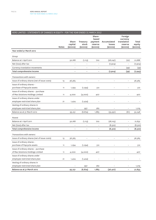# XERO LIMITED – STATEMENTS OF CHANGES IN EQUITY – FOR THE YEAR ENDED 31 MARCH 2012

|                                                           | <b>Notes</b> | Share<br>capital<br>(\$000S) | Treasury<br>stock<br>(\$000S) | Share-<br>based<br>payment<br>reserve<br>$(s$ ooos $)$ | Accumulated<br>losses<br>$(s$ ooos $)$ | Foreign<br>currency<br>translation<br>reserve<br>$(s$ ooos $)$ | Total<br>equity<br>$(s$ ooos $)$ |
|-----------------------------------------------------------|--------------|------------------------------|-------------------------------|--------------------------------------------------------|----------------------------------------|----------------------------------------------------------------|----------------------------------|
| Year ended 31 March 2012                                  |              |                              |                               |                                                        |                                        |                                                                |                                  |
|                                                           |              |                              |                               |                                                        |                                        |                                                                |                                  |
| Group                                                     |              |                              |                               |                                                        |                                        |                                                                |                                  |
| Balance at 1 April 2011                                   |              | 50,168                       | (1, 113)                      | 702                                                    | (28, 047)                              | (22)                                                           | 21,688                           |
| Net (loss) after tax                                      |              | $\overline{a}$               | $\overline{a}$                |                                                        | (7,904)                                | $\overline{a}$                                                 | (7,904)                          |
| Currency translation movements                            |              | $\overline{a}$               | $\overline{\phantom{a}}$      | $\qquad \qquad -$                                      |                                        | (39)                                                           | (39)                             |
| Total comprehensive income                                |              | -                            | $\qquad \qquad -$             |                                                        | (7,904)                                | (39)                                                           | (7, 943)                         |
| Transactions with owners:                                 |              |                              |                               |                                                        |                                        |                                                                |                                  |
|                                                           |              |                              |                               |                                                        |                                        |                                                                |                                  |
| Issue of ordinary shares (net of issue costs)             | 13           | 36,365                       | $\overline{\phantom{a}}$      | $\overline{\phantom{a}}$                               | $\overline{\phantom{0}}$               | $\overline{\phantom{0}}$                                       | 36,365                           |
| Issue of ordinary shares -<br>purchase of Paycycle assets | 11           | 1,294                        | (1, 294)                      | 512                                                    |                                        |                                                                | 512                              |
| Issue of ordinary shares - purchase                       |              |                              |                               |                                                        |                                        |                                                                |                                  |
| of Max Solutions Holdings Limited                         | 11           | 4,000                        | (4,000)                       | 407                                                    |                                        | $\overline{a}$                                                 | 407                              |
| Issue of ordinary shares under                            |              |                              |                               |                                                        |                                        |                                                                |                                  |
| employee restricted share plan                            | 21           | 1,424                        | (1, 424)                      |                                                        |                                        |                                                                |                                  |
| Vesting of ordinary shares in                             |              |                              |                               |                                                        |                                        |                                                                |                                  |
| employee restricted share plan                            |              |                              | 957                           | 262                                                    |                                        | $\overline{\phantom{a}}$                                       | 1,219                            |
| Balance as at 31 March 2012                               |              | 93,251                       | (6, 874)                      | 1,883                                                  | (35, 951)                              | (61)                                                           | 52,248                           |
|                                                           |              |                              |                               |                                                        |                                        |                                                                |                                  |
| Parent                                                    |              |                              |                               |                                                        |                                        |                                                                |                                  |
| Balance at 1 April 2011                                   |              | 50,168                       | (1, 113)                      | 702                                                    | (28, 105)                              | $\overline{\phantom{0}}$                                       | 21,652                           |
| Net (loss) after tax                                      |              | $\overline{a}$               |                               |                                                        | (8, 322)                               | $\overline{a}$                                                 | (8,322)                          |
| Total comprehensive income                                |              | $\overline{\phantom{0}}$     | $\overline{\phantom{a}}$      | $\overline{\phantom{a}}$                               | (8,322)                                | $\qquad \qquad -$                                              | (8,322)                          |
| Transactions with owners:                                 |              |                              |                               |                                                        |                                        |                                                                |                                  |
| Issue of ordinary shares (net of issue costs)             | 13           | 36,365                       | $\overline{a}$                | $\overline{a}$                                         | $\overline{\phantom{m}}$               | $\overline{\phantom{0}}$                                       | 36,365                           |
| Issue of ordinary shares -                                |              |                              |                               |                                                        |                                        |                                                                |                                  |
| purchase of Paycycle assets                               | 11           | 1,294                        | (1, 294)                      | 512                                                    |                                        |                                                                | 512                              |
| Issue of ordinary shares - purchase                       |              |                              |                               |                                                        |                                        |                                                                |                                  |
| of Max Solutions Holdings Limited                         | 11           | 4,000                        | (4,000)                       | 407                                                    | $\overline{\phantom{a}}$               | $\overline{\phantom{0}}$                                       | 407                              |
| Issue of ordinary shares under                            |              |                              |                               |                                                        |                                        |                                                                |                                  |
| employee restricted share plan                            | 21           | 1,424                        | (1, 424)                      | $\overline{a}$                                         | $\qquad \qquad -$                      | $\overline{\phantom{0}}$                                       |                                  |
| Vesting of ordinary shares in                             |              |                              |                               |                                                        |                                        |                                                                |                                  |
| employee restricted share plan                            |              |                              | 957                           | 262                                                    |                                        | $\overline{a}$                                                 | 1,219                            |
| Balance as at 31 March 2012                               |              | 93,251                       | (6, 874)                      | 1,883                                                  | (36, 427)                              | $\qquad \qquad -$                                              | 51,833                           |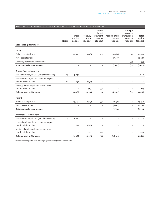| XERO LIMITED - STATEMENTS OF CHANGES IN EQUITY - FOR THE YEAR ENDED 31 MARCH 2012 |              |                                   |                                    |                                                        |                                        |                                                                |                                  |
|-----------------------------------------------------------------------------------|--------------|-----------------------------------|------------------------------------|--------------------------------------------------------|----------------------------------------|----------------------------------------------------------------|----------------------------------|
|                                                                                   | <b>Notes</b> | Share<br>capital<br>$(s$ ooos $)$ | Treasury<br>stock<br>$(s$ ooos $)$ | Share-<br>based<br>payment<br>reserve<br>$(s$ ooos $)$ | Accumulated<br>losses<br>$(s$ ooos $)$ | Foreign<br>currency<br>translation<br>reserve<br>$(s$ ooos $)$ | Total<br>equity<br>$(s$ ooos $)$ |
| Year ended 31 March 2011                                                          |              |                                   |                                    |                                                        |                                        |                                                                |                                  |
| Group                                                                             |              |                                   |                                    |                                                        |                                        |                                                                |                                  |
| Balance at 1 April 2010                                                           |              | 45,270                            | (738)                              | 371                                                    | (20, 560)                              | 31                                                             | 24,374                           |
| Net (loss) after tax                                                              |              |                                   |                                    | $\overline{\phantom{a}}$                               | (7, 487)                               | $\qquad \qquad -$                                              | (7, 487)                         |
| Currency translation movements                                                    |              | $\overline{a}$                    | Ĭ.                                 | $\overline{\phantom{0}}$                               |                                        | (53)                                                           | (53)                             |
| Total comprehensive income                                                        |              | $\overline{\phantom{a}}$          | $\qquad \qquad -$                  | $\overline{\phantom{a}}$                               | (7, 487)                               | (53)                                                           | (7,540)                          |
| Transactions with owners:                                                         |              |                                   |                                    |                                                        |                                        |                                                                |                                  |
| Issue of ordinary shares (net of issue costs)                                     | 13           | 4,040                             | $\overline{a}$                     | $\overline{\phantom{a}}$                               | $\overline{a}$                         | $\overline{a}$                                                 | 4,040                            |
| Issue of ordinary shares under employee<br>restricted share plan                  | 21           | 858                               | (858)                              | $\overline{\phantom{0}}$                               |                                        |                                                                |                                  |
| Vesting of ordinary shares in employee                                            |              |                                   |                                    |                                                        |                                        |                                                                |                                  |
| restricted share plan                                                             |              |                                   | 483                                | 331                                                    |                                        |                                                                | 814                              |
| Balance as at 31 March 2011                                                       |              | 50,168                            | (1, 113)                           | 702                                                    | (28, 047)                              | (22)                                                           | 21,688                           |
| Parent                                                                            |              |                                   |                                    |                                                        |                                        |                                                                |                                  |
| Balance at 1 April 2010                                                           |              | 45,270                            | (729)                              | 371                                                    | (20, 511)                              | $\overline{\phantom{0}}$                                       | 24,401                           |
| Net (loss) after tax                                                              |              |                                   | $\overline{a}$                     | $\overline{a}$                                         | (7,594)                                | $\qquad \qquad -$                                              | (7,594)                          |
| Total comprehensive income                                                        |              | $\overline{\phantom{0}}$          | L,                                 | $\overline{\phantom{0}}$                               | (7,594)                                | $\overline{\phantom{0}}$                                       | (7,594)                          |
| Transactions with owners:                                                         |              |                                   |                                    |                                                        |                                        |                                                                |                                  |
| Issue of ordinary shares (net of issue costs)                                     | 13           | 4,040                             | $\overline{\phantom{a}}$           | $\overline{\phantom{a}}$                               | $\overline{a}$                         | $\overline{\phantom{0}}$                                       | 4,040                            |
| Issue of ordinary shares under employee                                           |              |                                   |                                    |                                                        |                                        |                                                                |                                  |
| restricted share plan                                                             | 21           | 858                               | (858)                              |                                                        |                                        |                                                                |                                  |
| Vesting of ordinary shares in employee                                            |              |                                   |                                    |                                                        |                                        |                                                                |                                  |
| restricted share plan                                                             |              |                                   | 474                                | 331                                                    |                                        |                                                                | 805                              |
| Balance as at 31 March 2011                                                       |              | 50,168                            | (1, 113)                           | 702                                                    | (28, 105)                              | $\overline{a}$                                                 | 21,652                           |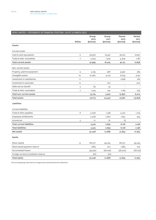| XERO LIMITED - STATEMENTS OF FINANCIAL POSITION - AS AT 31 MARCH 2012 |              |                          |                          |                    |                    |
|-----------------------------------------------------------------------|--------------|--------------------------|--------------------------|--------------------|--------------------|
|                                                                       |              | Group                    | Group                    | Parent             | Parent             |
|                                                                       | <b>Notes</b> | 2012<br>$(s$ ooos $)$    | 2011<br>$(s$ ooos $)$    | 2012<br>$(s$ ooos) | 2011<br>$(s$ ooos) |
| Assets                                                                |              |                          |                          |                    |                    |
| <b>Current assets</b>                                                 |              |                          |                          |                    |                    |
| Cash & cash equivalents                                               | 6            | 38,976                   | 16,922                   | 36,722             | 16,651             |
| Trade & other receivables                                             | 7            | 3,023                    | 1,503                    | 5,409              | 1,187              |
| Total current assets                                                  |              | 41,999                   | 18,425                   | 42,131             | 17,838             |
| Non-current assets                                                    |              |                          |                          |                    |                    |
| Property, plant & equipment                                           | 9            | 4,195                    | 466                      | 3,990              | 384                |
| Intangible assets                                                     | 10           | 10,260                   | 4,773                    | 8,033              | 4,741              |
| Investment in subsidiaries                                            | 11           | $\overline{\phantom{0}}$ | $\overline{\phantom{0}}$ | 2,638              | 262                |
| Investment in associate                                               | 12           | $\overline{\phantom{0}}$ | 207                      | $\overline{a}$     | 200                |
| Deferred tax benefit                                                  | 5            | 85                       | 35                       | $\overline{a}$     |                    |
| Trade & other receivables                                             | 7            | 1,234                    | 441                      | 1,169              | 423                |
| Total non-current assets                                              |              | 15,774                   | 5,922                    | 15,830             | 6,010              |
| <b>Total assets</b>                                                   |              | 57,773                   | 24,347                   | 57,961             | 23,848             |
| Liabilities                                                           |              |                          |                          |                    |                    |
| <b>Current liabilities</b>                                            |              |                          |                          |                    |                    |
| Trade & other payables                                                | 8            | 3,046                    | 1,538                    | 4,472              | 1,273              |
| Employee entitlements                                                 |              | 2,408                    | 1,060                    | 1,657              | 923                |
| Income tax                                                            | 5            | 71                       | 61                       | (1)                |                    |
| <b>Total current liabilities</b>                                      |              | 5,525                    | 2,659                    | 6,128              | 2,196              |
| <b>Total liabilities</b>                                              |              | 5,525                    | 2,659                    | 6,128              | 2,196              |
| Net assets                                                            |              | 52,248                   | 21,688                   | 51,833             | 21,652             |
| Equity                                                                |              |                          |                          |                    |                    |
| Share capital                                                         | 13           | 86,377                   | 49,055                   | 86,377             | 49,055             |
| Share based payment reserve                                           |              | 1,883                    | 702                      | 1,883              | 702                |
| <b>Accumulated losses</b>                                             |              | (35, 951)                | (28, 047)                | (36, 427)          | (28, 105)          |
| Foreign currency translation reserve                                  |              | (61)                     | (22)                     |                    |                    |
| Total equity                                                          |              | 52,248                   | 21,688                   | 51,833             | 21,652             |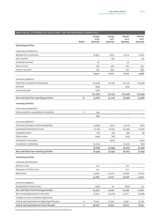| XERO LIMITED - STATEMENTS OF CASH FLOWS - FOR THE YEAR ENDED 31 MARCH 2012 |              |                           |                           |                                 |                            |
|----------------------------------------------------------------------------|--------------|---------------------------|---------------------------|---------------------------------|----------------------------|
|                                                                            | <b>Notes</b> | Group<br>2012<br>(\$000S) | Group<br>2011<br>(\$000S) | Parent<br>2012<br>$(s$ ooos $)$ | Parent<br>2011<br>(\$000S) |
| Operating activities                                                       |              |                           |                           |                                 |                            |
| Cash was provided from                                                     |              |                           |                           |                                 |                            |
| Receipts from customers                                                    |              | 18,560                    | 8,615                     | 14,774                          | 8,308                      |
| <b>GST</b> received                                                        |              |                           | 136                       |                                 | 39                         |
| Dividends received                                                         |              | 26                        | $\overline{\phantom{a}}$  | 26                              |                            |
| Other income                                                               |              | 283                       | 362                       | 283                             | 325                        |
| Interest received                                                          |              | 632                       | 898                       | 627                             | 896                        |
|                                                                            |              | 19,501                    | 10,011                    | 15,710                          | 9,568                      |
| Cash was applied to                                                        |              |                           |                           |                                 |                            |
| Payments to suppliers & employees                                          |              | (23, 379)                 | (15, 231)                 | (22, 217)                       | (14, 934)                  |
| GST paid                                                                   |              | (833)                     |                           | (329)                           |                            |
| Income tax paid                                                            |              | (150)                     |                           |                                 |                            |
|                                                                            |              | (24, 362)                 | (15, 231)                 | (22, 546)                       | (14, 934)                  |
| Net cash flows from operating activities                                   | 18           | (4, 861)                  | (5, 220)                  | (6,836)                         | (5,366)                    |
| Investing activities                                                       |              |                           |                           |                                 |                            |
| Cash was provided from                                                     |              |                           |                           |                                 |                            |
| Cash acquired on acquisition of subsidiary                                 | 11           | 259                       | $\overline{\phantom{m}}$  |                                 |                            |
|                                                                            |              | 259                       | $\overline{\phantom{a}}$  | $\overline{\phantom{a}}$        |                            |
| Cash was applied to                                                        |              |                           |                           |                                 |                            |
| Purchase of property, plant & equipment                                    |              | (3,963)                   | (307)                     | (3,777)                         | (237)                      |
| Capitalised development costs                                              |              | (3, 519)                  | (2,752)                   | (3,499)                         | (2,747)                    |
| Intangible assets                                                          |              | (37)                      | (18)                      | (38)                            | (8)                        |
| Other assets                                                               |              | (299)                     | (18)                      | (253)                           |                            |
| Investment in associate                                                    |              |                           | (200)                     |                                 | (200)                      |
| Investment in subsidiary                                                   |              | (1,000)                   | $\overline{\phantom{a}}$  | (1,000)                         | (67)                       |
|                                                                            |              | (8, 818)                  | (3, 295)                  | (8, 567)                        | (3, 259)                   |
| Net cash flows from investing activities                                   |              | (8, 559)                  | (3, 295)                  | (8, 567)                        | (3, 259)                   |
| <b>Financing activities</b>                                                |              |                           |                           |                                 |                            |
| Cash was provided from                                                     |              |                           |                           |                                 |                            |
| Director's loan                                                            |              | 100                       |                           | 100                             |                            |
| Repayment of other loans                                                   |              | 100                       |                           | 100                             |                            |
| Share issue                                                                |              | 35,638                    | 4,000                     | 35,638                          | 4,000                      |
|                                                                            |              | 35,838                    | 4,000                     | 35,838                          | 4,000                      |
| Cash was applied to                                                        |              |                           |                           |                                 |                            |
| (Cost)/refund of share issue                                               |              | (364)                     | 40                        | (364)                           | 40                         |
| Net cash flows from financing activities                                   |              | 35,474                    | 4,040                     | 35,474                          | 4,040                      |
| Net increase/(decrease) in cash held                                       |              | 22,054                    | (4, 475)                  | 20,071                          | (4, 585)                   |
| Foreign currency translation adjustment                                    |              |                           |                           |                                 |                            |
| Cash & cash equivalents at beginning of the year                           | 6            | 16,922                    | 21,397                    | 16,651                          | 21,236                     |
| Cash & cash equivalents at end of the year                                 | 6            | 38,976                    | 16,922                    | 36,722                          | 16,651                     |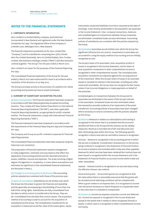# **NOTES TO THE FINANCIAL STATEMENTS**

### **1. CORPORATE INFORMATION**

Xero Limited is a limited liability company, domiciled and incorporated in New Zealand and registered under the New Zealand Companies Act 1993. The registered office of the Company is 3 Market Lane, Wellington 6011, New Zealand.

The financial statements presented are for Xero Limited (the "Company") and its subsidiaries comprising Xero (UK) Limited, Xero Pty Limited (Australia), Xero Inc (United States), Xero Trustee Limited, Max Solutions Holdings Limited ("MSHL") and Max Solutions Limited (together "the Group") for the year ended 31 March 2012.

Xero Limited is an issuer for the purposes of the Financial Reporting Act 1993.

The consolidated financial statements of the Group for the year ended 31 March 2012 were authorised for issue in accordance with a resolution of the Directors on 24 May 2012.

The Group's principal activity is the provision of a platform for online accounting and business services to small businesses.

### **2. SUMMARY OF SIGNIFICANT ACCOUNTING POLICIES**

(a) Basis of preparation The financial statements have been prepared in accordance with New Zealand generally accepted accounting practice. They comply with New Zealand Equivalents to International Financial Reporting Standards ("NZ IFRS"), and other applicable Financial Reporting Standards, as appropriate for profit–oriented entities. The financial statements comply with International Financial Reporting Standards ("IFRS").

The financial statements have been prepared in accordance with the requirements of the Financial Reporting Act 1993 and Companies Act 1993.

The Company and Group are profit–oriented companies for financial reporting purposes.

The consolidated financial statements have been prepared using the historical cost convention.

The preparation of financial statements requires management to make judgements, estimates and assumptions that affect the application of accounting policies and the reported amounts of assets, liabilities, income and expenses. The areas involving a higher degree of judgement or complexity, or areas where assumptions and estimates are significant to the consolidated financial statements, are disclosed in Note 3.

(b) Changes in accounting policy & disclosures The accounting policies adopted are consistent with those of the previous year.

(c) Basis of consolidation Subsidiaries are all entities over which the Group has the power to govern the financial and operating policies generally accompanying a shareholding of more than one half of the voting rights. Subsidiaries are fully consolidated from the date on which control is transferred to the Group. They are de–consolidated from the date that control ceases. The acquisition method of accounting is used to account for the acquisition of subsidiaries by the Group. The consideration transferred for an acquisition is measured as the fair value of the assets given, equity

instruments issued and liabilities incurred or assumed at the date of exchange. Costs directly attributable to the acquisition are expensed in the Income Statement. Inter–company transactions, balances and unrealised gains on transactions between Group companies are eliminated. Unrealised losses are also eliminated. Accounting policies of subsidiaries are consistent with the policies adopted by the Group.

(d) Associates Associates are all entities over which the Group has significant influence but not control. Investments in associates are accounted for using the equity method of accounting and are initially recognised at cost.

The Group's share of its associates' post–acquisition profits or losses is recognised in the Income Statement, and its share of post acquisition movements in other comprehensive income is recognised in other comprehensive income. The cumulative post– acquisition movements are adjusted against the carrying amount of the investment. When the Group's share of losses in an associate equals or exceeds its interest in the associate, including any other unsecured receivables, the Group does not recognise further losses, unless it has incurred obligations or made payments on behalf of the associate.

Unrealised gains on transactions between the Group and its associates are eliminated to the extent of the Group's interest in the associates. Unrealised losses are also eliminated unless the transaction provides evidence of an impairment of the asset transferred. Accounting policies of associates have been changed where necessary to ensure consistency with the policies adopted by the Group.

(e) Revenue Revenue in relation to subscriptions and training is recognised to the extent that it is probable that the economic benefits will flow to the Group and the revenue can be reliably measured. Revenue is recorded net of GST and discounts and after eliminating sales within the Group. The following specific recognition criteria must also be met before revenue is recognised:

*Services* – Revenue is recognised in the accounting period in which the service is rendered. Consideration received prior to the service being rendered is recognised in the Statement of Financial Position as income in advance and included within trade and other payables. Revenue for which services have been rendered but invoices have not been issued is recognised within the Income Statement and in the Statement of Financial Position as accrued income within trade and other receivables.

*Interest* – Interest income is recognised on an accruals basis using the effective interest rate method.

*Government grants* – Government grants are recognised at their fair value where there is reasonable assurance that the grants will be received and all attaching conditions will be complied with. When a grant relates to an expense item, it is recognised as income over the period necessary to match the grant on a systematic basis to the costs that it is intended to compensate.

(f) Income tax Income tax expense comprises current and deferred tax. Income tax expense is recognised in the Income Statement except to the extent that it relates to items recognised directly in equity, in which case it is recognised in other Comprehensive Income and equity.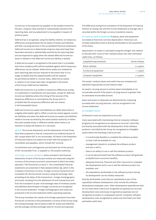Current tax is the expected tax payable on the taxable income for the year, using tax rates enacted or substantially enacted at the reporting date, and any adjustment to tax payable in respect of previous years.

Deferred tax is recognised, using the liability method, on temporary differences arising between the tax bases of assets and liabilities and their carrying amounts in the consolidated financial statements. Deferred income tax is determined using tax rates (and laws) that have been enacted or substantially enacted by the reporting date and are expected to apply when the related deferred income tax asset is realised or the deferred income tax liability is settled.

A deferred tax asset is recognised to the extent that it is probable that future taxable profits will be available against which temporary differences can be utilised. Deferred tax assets are reviewed at each reporting date and are reduced to the extent that it is no longer probable that the related benefits will be realised. As permitted by NZIAS 12: Income Taxes, deferred tax assets in relation to tax losses have been recognised to the extent of the Group's deferred tax liabilities.

Deferred income tax is provided on temporary differences arising on investments in subsidiaries and associates, except for deferred income tax liabilities where the timing of the reversal of the temporary difference is controlled by the Group and it is probable that the temporary difference will not reverse in the foreseeable future.

Deferred income tax assets and liabilities are offset when there is a legally enforceable right to offset current tax assets against current tax liabilities and when the deferred income tax assets and liabilities relate to income tax levied by the same taxation authority on either the same taxable entity or different entities where there is an intention to settle the balance on a net basis.

(g) GST The Income Statements and the Statements of Cash Flows have been prepared so that all components are stated exclusive of GST, except where GST is not recoverable. All items in the Statement of Financial Position are stated net of GST with the exception of receivables and payables, which include GST invoiced.

Commitments and contingencies are disclosed net of the amount of GST recoverable from, or payable to, the taxation authority.

(h) Foreign currency translation Items included in the financial statements of each of the Group's entities are measured using the currency of the primary economic environment in which the entity operates ("the functional currency"). The consolidated financial statements are presented in New Zealand dollars (\$), which is the Company's functional currency. Foreign currency transactions are translated into the functional currency using the exchange rates prevailing at the dates of the transactions. Foreign exchange gains and losses resulting from the settlement of such transactions and from the translation at year–end exchange rates of monetary assets and liabilities denominated in foreign currencies are recognised in the Income Statement. Foreign exchange gains and losses are presented in the Income Statement within operating expenses.

The Group translates the results of its foreign operations from their functional currencies to the presentation currency of the Group using the closing exchange rate at balance date for assets and liabilities and the average monthly exchange rates for income and expenses.

The difference arising from translation of the Statement of Financial Position at closing rate and the Income Statement at average rate is recorded within the foreign currency translation reserve.

(i) Property, plant & equipment Property, plant and equipment are stated at historical cost less depreciation. Historical cost includes expenditure that is directly attributable to the acquisition of the items.

Depreciation on assets is calculated using the straight–line method to allocate their costs to their residual values over their estimated useful lives, as follows:

| Leasehold improvements | Terms of lease |
|------------------------|----------------|
| Motor vehicles         | $3 - 4$ years  |
| Furniture & equipment  | 1-7 years      |
| Computer equipment     | $2-3$ years    |

The assets' residual values and useful lives are reviewed and adjusted if appropriate at each balance date.

An asset's carrying amount is written down immediately to its recoverable amount if the asset's carrying amount is greater than its estimated recoverable amount.

Gains and losses on disposals are determined by comparing proceeds with carrying amounts, and are recognised in the Income Statement.

### (j) Intangible assets

(I) Research costs are expensed as incurred.

Costs associated with maintaining internal computer software programs are recognised as an expense as incurred. Costs that are directly associated with the development of the software products controlled by the Group are recognised as intangible assets where the following criteria are met:

- it is technically feasible to complete the software product so that it will be available for use;
- management intends to complete the software product and use or sell it;
- there is an ability to use or sell the software product;
- it can be demonstrated how the software product will generate probable future economic benefits;
- adequate technical, financial and other resources to complete the development and to use or sell the software product are available; and
- the expenditure attributable to the software product during its development can be reliably measured.

Directly attributable costs that are capitalised as part of the capitalised software development costs include the software development employee costs. Other development expenditures that do not meet these criteria are recognised as expenses as incurred. Development costs previously recognised as expenses are not recognised as assets in a subsequent period. Computer software development costs recognised as assets are amortised over their estimated useful lives.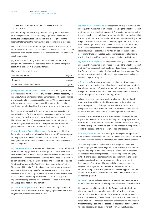### **2. SUMMARY OF SIGNIFICANT ACCOUNTING POLICIES (CONTINUED)**

(II) Other intangible assets acquired are initially measured at cost. Internally generated assets, excluding capitalised development costs, are not capitalised and expenditure is recognised in the Income Statement in the year in which the expenditure is incurred.

The useful lives of the Group's intangible assets are assessed to be finite. Assets with finite lives are amortised over their useful lives and tested for impairment whenever there are indications that the assets may be impaired.

(III) Amortisation is recognised in the Income Statement on a straight–line basis over the estimated useful life of the intangible asset, from the date it is available for use.

The estimated useful lives are:

| Trademarks/patents            | 10 years  |
|-------------------------------|-----------|
| Domains                       | 10 years  |
| Capitalised development costs | 3-5 years |

(k) Impairment of non–financial assets At each reporting date, the Group assesses whether there is any indication that an asset may be impaired. Where an indicator of impairment exists, the Group makes a formal estimate of the recoverable amount. Where the carrying value of an asset exceeds its recoverable amount, the asset is considered impaired and is written down to its recoverable amount.

Recoverable amount is the greater of fair value less costs to sell and value in use. For the purposes of assessing impairment, assets are grouped at the lowest levels for which there are separately identifiable cash flows (cash–generating units). Non–financial assets other than goodwill that suffered an impairment are reviewed for possible reversal of the impairment at each reporting date.

(l) Non–derivative financial instruments The Group classifies its financial assets as loans and receivables. The classifications depend on the purposes for which the financial assets were acquired. Management determines the classifications of its financial assets at initial recognition.

(m) Loans & receivables are non–derivative financial assets with fixed or determinable payments that are not quoted in an active market. They are included in current assets, except for those with maturities greater than 12 months after the reporting date. These are classified as non–current assets. The Group's loans and receivables comprise "trade & other receivables" and "cash & cash equivalents" in the Statement of Financial Position. Loans and receivables are carried at amortised cost using the effective interest method. The Group assesses at each reporting date whether there is objective evidence that a financial asset or a group of financial assets is impaired. Impairment testing of trade receivables is described in Note 2.(o). The Group does not have any derivatives.

(n) Cash & cash equivalents include cash in hand, deposits held at call with banks, other short–term and highly liquid investments with original maturities of six months or less.

(o) Trade & other receivables are recognised initially at fair value and subsequently measured at amortised cost using the effective interest method, less provision for impairment. A provision for impairment of trade receivables is established when there is objective evidence that the Group will not be able to collect all amounts due according to the original terms of the receivables. The carrying amount of an asset is reduced through the use of an allowance account, and the amount of the loss is recognised in the Income Statement. When a trade receivable is uncollectible, it is written off against the allowance account for trade receivables. Subsequent recoveries of amounts previously written off are credited against the Income Statement.

(p) Trade & other payables are recognised initially at fair value and subsequently measured at amortised cost using the effective interest method. They represent liabilities for goods and services provided to the Group prior to the end of the financial year that are unpaid. The amounts are unsecured, non–interest bearing and are usually paid within 45 days of recognition.

(q) Provisions Provisions are recognised when the Group has a present legal or constructive obligation as a result of past events, it is probable that an outflow of resources will be required to settle the obligation, and the amount has been reliably estimated. Provisions are not recognised for future operating losses.

Where there are a number of similar obligations, the likelihood that an outflow will be required in settlement is determined by considering the class of obligations as a whole. A provision is recognised even if the likelihood of an outflow with respect to any one item included in the same class of obligations may be small.

Provisions are measured at the present value of the expenditures expected to be required to settle the obligation using a pre-tax rate that reflects current market assessments of the time value of money and the risks specific to the obligation. The increase in the provision due to the passage of time is recognised as interest expense.

(r) Employee entitlements The liability for employees' compensation for future leave is accrued in relation to the length of service rendered by employees and relates to the vested and unvested entitlements.

The Group operates both short–term and long–term incentive plans. Employee incentive obligations are measured at the amounts expected to be paid when the liability is settled and are expensed as the related service is provided. The Group operates an equity– settled, share–based compensation plan, under which the entity receives services from employees as consideration for equity instruments of the Group. The value of the employee services received for the grant of non transferable share options and shares is recognised as an expense over the vesting period and the amount is determined by reference to the fair value of the options and shares granted.

(s) Leases Operating lease payments are recognised as an expense in the Income Statement on a straight–line basis over the lease term.

Finance leases, which transfer to the Group substantially all the risks and benefits incidental to ownership of the leased items, are capitalised at the inception of the leases at the fair value of the leased assets or, if lower, at the present value of the minimum lease payments. The leased assets and corresponding liabilities are therefore recognised and the assets are depreciated in line with the Group's depreciation policy to reflect estimated useful lives.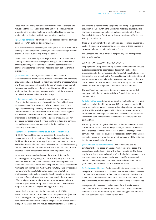Lease payments are apportioned between the finance charges and reduction of the lease liability so as to achieve a constant rate of interest on the remaining balance of the liability. Finance charges are included in the Income Statement as interest costs.

(t) Earnings per share The Group presents basic and diluted earnings per share ("EPS") data for its ordinary shares.

Basic EPS is calculated by dividing the Group profit or loss attributable to ordinary shareholders of the Company by the weighted average number of ordinary shares outstanding during the period.

Diluted EPS is determined by adjusting the profit or loss attributable to ordinary shareholders and the weighted average number of ordinary shares outstanding for the effects of all dilutive potential ordinary shares, which comprise convertible notes and share options granted to employees.

(u) Share capital Ordinary shares are classified as equity. Incremental costs directly attributable to the issue of new shares are shown in equity as a deduction, net of tax, from the proceeds. Where any Group company purchases the Company's equity share capital (treasury shares), the consideration paid is deducted from equity attributable to the Company's equity holders until the shares are cancelled or transferred outside the Group.

(v) Segment reporting An operating segment is a component of an entity that engages in business activities from which it may earn revenue and incur expenses, whose operating results are regularly reviewed by the entity's Chief Operating Decision Maker to make decisions about resources to be allocated to the segment and assess its performance, and for which discrete financial information is available. Operating segments are aggregated for disclosure purposes where they have similar products and services, production processes, customers, distribution methods and regulatory environments.

### (w) Standards or interpretations issued but not yet effective

NZ IFRS 9 Financial Instruments addresses the classification, measurement and derecognition of financial assets and financial liabilities. The standard is not applicable until 1 January 2015 but is available for early adoption. Financial assets are classified according to their measurement, fair at either value or amortised cost. It is not expected to have a material impact on the Company or Group.

NZ IFRS 44 New Zealand Additional Disclosures (effective for accounting periods beginning on or after 1 July 2011). This standard relocates New Zealand specific disclosures that were previously embedded within the standards to one place and revises disclosures relating to compliance with NZ-IFRS, the statutory basis or reporting framework for financial statements, audit fees, imputation credits, reconciliation of net operating cash flows to profit or loss, prospective financial statements, and elements in the statement of financial performance. The standard is not expected to have a material impact on the Group financial statements. The Group will adopt the standard for the year ending 31 March 2013.

Harmonisation Admendments: Amendments to NZ-IFRS to Harmonise with IFRS and Australian Accounting Standards (effective for accounting periods beginning on or after 1 July 2011). The harmonisation amendments relate to the joint Trans-Tasman project to align New Zealand and Australian accounting standards with IFRS

and to remove disclosures to a separate standard (FRS 44) that were previously included within the associated reporting standard. This standard is not expected to have a material impact on the Group financial statements. The Group will adopt the standard for the year ending 31 March 2013.

There are a number of other amendments to accounting standards as part of the ongoing improvement process. None of these changes is expected to impact significantly on the Group.

The Company and Group have not adopted any standards prior to their effective date.

### **3. SIGNIFICANT ACCOUNTING JUDGEMENTS**

In applying the Group's accounting policies, management continually evaluates judgements, estimates and assumptions based on experience and other factors, including expectations of future events that may have an impact on the Group. All judgements, estimates and assumptions made are believed to be reasonable based on the most current set of circumstances available to the Group. Actual results may differ from the judgements, estimates and assumptions.

The significant judgements, estimates and assumptions made by management in the preparation of these financial statements are outlined below.

(a) Deferred tax asset Deferred tax benefits relating to carry forward tax losses and deductible temporary differences are recognised by the Group and Company to the extent that it is probable that taxable profits will be available against which those losses and temporary differences can be recognised. Deferred tax assets in relation to tax losses have been recognised to the extent of the Group's deferred tax liabilities.

The Group has not recognised deferred tax benefits in relation to all carry forward losses. The Company has not yet reached break–even and is expected to make a further loss in the year ending 31 March 2013. It is not considered prudent to recognise a deferred tax asset in respect of losses and other temporary differences until the point that the Company reaches break–even.

(b) Capitalised development costs The Group capitalises its development costs based on a proportion of employee costs. The percentages applied are in line with industry standards. The Group regularly reviews the carrying value of capitalised development costs to ensure they are supported by the associated future economic benefits. The development costs are amortised over three to five years, being the expected useful life of the software.

(c) Business combinations Business combinations are accounted for using the acquisition method. The amounts transferred in a business combination are measured at fair value, which is calculated as the sum of the acquisition date fair value of the assets transferred and the liabilities incurred by the Group to former owners of the acquiree.

Management has assessed the fair value of the financial assets and liabilities in accordance with the contractual terms, economic conditions, the Group's operating and accounting policies and other relevant conditions as at the acquisition date.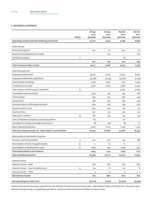### **4. REVENUES & EXPENSES**

|                                                           |              | Group            | Group            | Parent                | Parent           |
|-----------------------------------------------------------|--------------|------------------|------------------|-----------------------|------------------|
|                                                           | <b>Notes</b> | 2012<br>(\$000S) | 2011<br>(\$000S) | 2012<br>$(s$ ooos $)$ | 2011<br>(\$000S) |
| Operating revenue from the rendering of services          |              | 19,370           | 9,341            | 15,186                | 8,858            |
|                                                           |              |                  |                  |                       |                  |
| Other income                                              |              |                  |                  |                       |                  |
| Government grants*                                        |              | 401              | 52               | 401                   | 52               |
| Research & development tax credit                         |              |                  | 273              |                       | 273              |
| Dividends received                                        | 11           |                  |                  | 26                    |                  |
|                                                           |              | 401              | 325              | 427                   | 325              |
| Total revenue & other income                              |              | 19,771           | 9,666            | 15,613                | 9,183            |
| Operating expenses                                        |              |                  |                  |                       |                  |
| Employee entitlements                                     |              | 19,272           | 11,047           | 12,742                | 8,760            |
| Employee entitlements capitalised                         |              | (5, 426)         | (2,753)          | (3, 206)              | (2,747)          |
| Advertising & marketing                                   |              | 2,976            | 2,237            | 1,231                 | 1,490            |
| IT infrastructure costs                                   |              | 3,266            | 2,046            | 2,856                 | 2,046            |
| Intercompany market support payments                      | 15           | $\overline{a}$   | $\overline{a}$   | 4,703                 | 3,644            |
| Consulting & subcontracting                               |              | 1,222            | 412              | 792                   | 368              |
| Travel related                                            |              | 839              | 537              | 487                   | 339              |
| Lease/rental                                              |              | 958              | 472              | 766                   | 433              |
| Communication & office administration                     |              | 484              | 325              | 338                   | 246              |
| Superannuation costs                                      |              | 330              | 204              | 139                   | 94               |
| Directors' fees                                           |              | 220              | 222              | 220                   | 222              |
| Fees paid to auditors                                     | 16           | 167              | 143              | 142                   | 99               |
| Loss on disposal of property, plant & equipment           |              | 119              | $\overline{a}$   | 121                   |                  |
| Loss/(gain) on foreign exchange transactions              |              | (8)              | (40)             | (8)                   | 15               |
| Other operating expenses                                  |              | 2,072            | 2,012            | 1,559                 | 1,523            |
| Total operating expenses exc. depreciation & amortisation |              | 26,491           | 16,864           | 22,882                | 16,532           |
| Depreciation & amortisation expense                       |              |                  |                  |                       |                  |
| Property, plant & equipment                               | 9            | 320              | 207              | 259                   | 186              |
| Amortisation of other intangible assets                   | 10           | 11               | 10               | 10                    | 7                |
| Amortisation of development costs                         | 10           | 1,563            | 936              | 1,569                 | 930              |
| Total depreciation & amortisation                         |              | 1,894            | 1,153            | 1,838                 | 1,123            |
| Total operating expenses                                  |              | 28,385           | 18,017           | 24,720                | 17,655           |
| Interest income                                           |              |                  |                  |                       |                  |
| Interest income - bank                                    |              | 587              | 868              | 582                   | 866              |
| Interest income - loan to related party                   |              | 20               | 8                | 20                    | 8                |
| Interest income - other                                   | 15           |                  |                  |                       |                  |
| Net interest income                                       |              | 5<br>612         | 4<br>880         | 5<br>607              | 4<br>878         |
|                                                           |              |                  |                  |                       |                  |
| Net operating loss before tax                             |              | (8,002)          | (7, 471)         | (8,500)               | (7,594)          |

\*Government grants have been received from the Ministry of Science and Innovation (2011: New Zealand Trade and Enterprise). The grants were claimed retrospectively on qualifying expenditure, and all conditions have been fulfilled at balance date.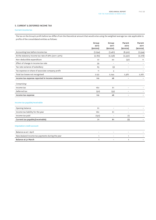### **5. CURRENT & DEFERRED INCOME TAX**

### Current income tax

The tax on the Group's profit before tax differs from the theoretical amount that would arise using the weighted average tax rate applicable to profits of the consolidated entities as follows:

|                                                     | Group<br>2012<br>$(s$ ooos $)$ | Group<br>2011<br>$(s$ ooos $)$ | Parent<br>2012<br>$(s$ ooos $)$ | Parent<br>2011<br>$(s$ ooos $)$ |
|-----------------------------------------------------|--------------------------------|--------------------------------|---------------------------------|---------------------------------|
| Accounting loss before income tax                   | (7, 794)                       | (7, 461)                       | (8, 322)                        | (7,594)                         |
| At the statutory income tax rate of 28% (2011: 30%) | (2, 182)                       | (2, 238)                       | (2,330)                         | (2, 278)                        |
| Non-deductible expenditure                          | 27                             | 20                             | (37)                            | 11                              |
| Effect of change in income tax rate                 | 39                             | $\overline{\phantom{a}}$       | $\overline{a}$                  |                                 |
| Tax rate variance of subsidiary                     | 63                             | (3)                            | $\overline{\phantom{0}}$        |                                 |
| Tax expense on share of associate company profit    | 11                             | 3                              |                                 |                                 |
| Total tax losses not recognised                     | 2,152                          | 2,244                          | 2,367                           | 2,267                           |
| Income tax expense reported in income statement     | 110                            | 26                             |                                 |                                 |
| Comprising:                                         |                                |                                |                                 |                                 |
| Income tax                                          | 160                            | 61                             | $\overline{a}$                  |                                 |
| Deferred tax                                        | (50)                           | (35)                           | $\overline{\phantom{0}}$        |                                 |
| Income tax expense                                  | 110                            | 26                             | $\qquad \qquad -$               |                                 |
| Income tax payable/receivable                       |                                |                                |                                 |                                 |
| Opening balance                                     | 61                             | $\overline{\phantom{a}}$       | $\overline{a}$                  |                                 |
| Income tax liability for the year                   | 160                            | 61                             |                                 |                                 |
| Income tax paid                                     | (150)                          |                                | (1)                             |                                 |
| Current tax payable/(receivable)                    | 71                             | 61                             | (1)                             |                                 |
| <b>Imputation credit account</b>                    |                                |                                |                                 |                                 |
| Balance as at 1 April                               | $\overline{a}$                 | $\overline{\phantom{a}}$       | $\overline{\phantom{0}}$        |                                 |
| New Zealand income tax payments during the year     | 1                              |                                | $\mathbf{1}$                    |                                 |
| Balance at 31 March                                 | 1                              |                                | 1                               |                                 |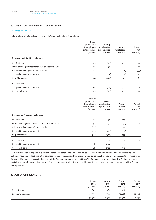### **5. CURRENT & DEFERRED INCOME TAX (CONTINUED)**

### Deferred income tax

The analysis of deferred tax assets and deferred tax liabilities is as follows:

|                                                        | Group<br>provisions<br>& employee<br>entitlements<br>$(s$ ooos $)$ | Group<br>accelerated<br>depreciation<br>$(s$ ooos $)$ | Group<br>tax losses<br>$(s$ ooos $)$ | Group<br>net<br>$(s$ ooos $)$ |
|--------------------------------------------------------|--------------------------------------------------------------------|-------------------------------------------------------|--------------------------------------|-------------------------------|
| Deferred tax/(liability) balances:                     |                                                                    |                                                       |                                      |                               |
| At 1 April 2011                                        | 296                                                                | (571)                                                 | 310                                  | 35                            |
| Effect of change in income tax rate on opening balance | (20)                                                               | 38                                                    | 21                                   | 39                            |
| Adjustment in respect of prior periods                 | (97)                                                               |                                                       | (2)                                  | (99)                          |
| Charged to income statement                            | 345                                                                | (229)                                                 | (6)                                  | 110                           |
| At 31 March 2012                                       | 524                                                                | (762)                                                 | 323                                  | 85                            |
| At 1 April 2010                                        | $\overline{\phantom{m}}$                                           |                                                       | $\overline{\phantom{0}}$             |                               |
| Charged to income statement                            | 296                                                                | (571)                                                 | 310                                  | 35                            |
| At 31 March 2011                                       | 296                                                                | (571)                                                 | 310                                  | 35                            |

|                                                        | Parent<br>provisions<br>& employee<br>entitlements<br>$(s$ ooos $)$ | Parent<br>accelerated<br>depreciation<br>$(s$ ooos $)$ | Parent<br>tax losses<br>$(s$ ooos $)$ | Parent<br>net<br>$(s$ ooos $)$ |
|--------------------------------------------------------|---------------------------------------------------------------------|--------------------------------------------------------|---------------------------------------|--------------------------------|
| Deferred tax/(liability) balances:                     |                                                                     |                                                        |                                       |                                |
| At 1 April 2011                                        | 261                                                                 | (571)                                                  | 310                                   |                                |
| Effect of change in income tax rate on opening balance | (17)                                                                | 38                                                     | (21)                                  |                                |
| Adjustment in respect of prior periods                 | (155)                                                               | $\qquad \qquad$                                        | 155                                   |                                |
| Charged to income statement                            | 238                                                                 | (229)                                                  | (9)                                   |                                |
| At 31 March 2012                                       | 327                                                                 | (762)                                                  | 435                                   |                                |
| At 1 April 2010                                        | $\overline{\phantom{m}}$                                            | $\qquad \qquad -$                                      | $\overline{\phantom{0}}$              |                                |
| Charged to income statement                            | 261                                                                 | (571)                                                  | 310                                   |                                |
| At 31 March 2011                                       | 261                                                                 | (571)                                                  | 310                                   |                                |

With the exception of \$77,000 it is not anticipated that deferred tax balances will be recovered within 12 months. Deferred tax assets and liabilities have been offset where the balances are due to/receivable from the same counterparties. Deferred income tax assets are recognised for carried forward tax losses to the extent of the Company's deferred tax liabilities. The Company has unrecognised New Zealand tax losses available to carry forward of \$35,051,000 (2011: \$26,698,000) subject to shareholder continuity being maintained as required by New Zealand tax legislation.

# **6. CASH & CASH EQUIVALENTS**

|                    | Group<br>2012<br>$(s$ ooos $)$ | Group<br>2011<br>$(s$ ooos $)$ | Parent<br>2012<br>$(s$ ooos $)$ | Parent<br>2011<br>$(s$ ooos $)$ |
|--------------------|--------------------------------|--------------------------------|---------------------------------|---------------------------------|
| Cash at bank       | 2,607                          | 380                            | 416                             | 151                             |
| Bank term deposits | 36,369                         | 16,542                         | 36,306                          | 16,500                          |
|                    | 38,976                         | 16,922                         | 36,722                          | 16,651                          |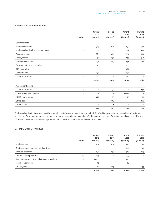### **7. TRADE & OTHER RECEIVABLES**

|                                        |              | Group<br>2012            | Group<br>2011            | Parent<br>2012           | Parent<br>2011           |
|----------------------------------------|--------------|--------------------------|--------------------------|--------------------------|--------------------------|
|                                        | <b>Notes</b> | $(s$ ooos $)$            | $(s$ ooos $)$            | $(s$ ooos $)$            | $(s$ ooos $)$            |
| <b>Current assets</b>                  |              |                          |                          |                          |                          |
| Trade receivables                      |              | 1,347                    | 814                      | 832                      | 587                      |
| Trade receivables from related parties | 15           | $\qquad \qquad -$        | $\qquad \qquad -$        | 3,213                    | 122                      |
| Accrued income                         |              | 687                      | 350                      | 357                      | 221                      |
| Prepayments                            |              | 311                      | 172                      | 147                      | 90                       |
| Interest receivable                    |              | 138                      | 167                      | 138                      | 167                      |
| Government grant receivable            |              | 170                      | $\qquad \qquad -$        | 170                      | $\overline{\phantom{m}}$ |
| GST receivable                         |              | $\overline{\phantom{a}}$ | $\overline{\phantom{a}}$ | 182                      |                          |
| Rental bonds                           |              | 250                      | $\overline{\phantom{a}}$ | 250                      |                          |
| Loans to Directors                     | 15           | 120                      | $\qquad \qquad -$        | 120                      |                          |
|                                        |              | 3,023                    | 1,503                    | 5,409                    | 1,187                    |
| Non-current assets                     |              |                          |                          |                          |                          |
| Loans to Directors                     | 15           | $\overline{\phantom{a}}$ | 232                      | $\overline{\phantom{m}}$ | 232                      |
| Loans to key management                | 15           | 1,094                    | $\qquad \qquad -$        | 1,094                    |                          |
| NZX & rental bonds                     |              | 140                      | 75                       | 75                       | 75                       |
| Other loans                            |              | $\overline{\phantom{a}}$ | 116                      | $\overline{\phantom{a}}$ | 116                      |
| Other assets                           |              | $\overline{\phantom{a}}$ | 18                       | $\overline{\phantom{m}}$ | $\overline{\phantom{0}}$ |
|                                        |              | 1,234                    | 441                      | 1,169                    | 423                      |

Trade receivables that are less than three months past due are not considered impaired. As of 31 March 2012, trade receivables of the Parent and Group of \$64,000 were past due (2011: \$24,000). These relate to a number of independent customers for whom there is no recent history of default. The Group has created a provision of \$7,000 (2011: \$16,000) for impaired receivables.

# **8. TRADE & OTHER PAYABLES**

|                                              | <b>Notes</b> | Group<br>2012<br>$(s$ ooos $)$ | Group<br>2011<br>$(s$ ooos $)$ | Parent<br>2012<br>$(s$ ooos $)$ | Parent<br>2011<br>$(s$ ooos $)$ |
|----------------------------------------------|--------------|--------------------------------|--------------------------------|---------------------------------|---------------------------------|
| Trade payables                               |              | 969                            | 915                            | 738                             | 768                             |
| Trade payables due to related parties        | 15           | $\overline{\phantom{0}}$       | $\overline{\phantom{0}}$       | 1,913                           | 207                             |
| Accrued expenses                             |              | 651                            | 478                            | 528                             | 265                             |
| Onerous lease provision                      | 23           | 275                            | $\qquad \qquad =$              | 275                             |                                 |
| Amounts payable on acquisition of subsidiary | 11           | 1,000                          | $\overline{\phantom{0}}$       | 1,000                           |                                 |
| Income in advance                            |              | 90                             | $\overline{\phantom{0}}$       | 18                              |                                 |
| GST payable                                  |              | 61                             | 145                            | $\overline{\phantom{0}}$        | 33                              |
|                                              |              | 3,046                          | 1,538                          | 4,472                           | 1,273                           |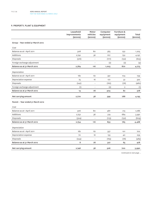### **9. PROPERTY, PLANT & EQUIPMENT**

|                                   | Leasehold<br>improvements<br>$(s$ ooos $)$ | Motor<br>vehicles<br>$(s$ ooos $)$ | Computer<br>equipment<br>$(s$ ooos $)$ | Furniture &<br>equipment<br>$(s$ ooos $)$ | Total<br>$(s$ ooos $)$ |
|-----------------------------------|--------------------------------------------|------------------------------------|----------------------------------------|-------------------------------------------|------------------------|
| Group - Year ended 31 March 2012  |                                            |                                    |                                        |                                           |                        |
| Cost                              |                                            |                                    |                                        |                                           |                        |
| Balance as at 1 April 2011        | 308                                        | 80                                 | 565                                    | 252                                       | 1,205                  |
| Additions                         | 2,792                                      | 36                                 | 617                                    | 752                                       | 4,197                  |
| Disposals                         | (316)                                      | $\overline{\phantom{0}}$           | (177)                                  | (132)                                     | (625)                  |
| Foreign exchange adjustment       |                                            | $\overline{\phantom{0}}$           | (2)                                    | (2)                                       | (4)                    |
| Balance as at 31 March 2012       | 2,784                                      | 116                                | 1,003                                  | 870                                       | 4,773                  |
| Depreciation                      |                                            |                                    |                                        |                                           |                        |
| Balance as at 1 April 2011        | 182                                        | 62                                 | 391                                    | 104                                       | 739                    |
| Depreciation expense              | 75                                         | 16                                 | 177                                    | 52                                        | 320                    |
| Disposals                         | (242)                                      | $\overline{\phantom{0}}$           | (162)                                  | (76)                                      | (480)                  |
| Foreign exchange adjustment       | (1)                                        | $\overline{a}$                     | (2)                                    | $\overline{2}$                            | (1)                    |
| Balance as at 31 March 2012       | 14                                         | 78                                 | 404                                    | 82                                        | 578                    |
| Net carrying amount               | 2,770                                      | 38                                 | 599                                    | 788                                       | 4,195                  |
| Parent - Year ended 31 March 2012 |                                            |                                    |                                        |                                           |                        |
| Cost                              |                                            |                                    |                                        |                                           |                        |
| Balance as at 1 April 2011        | 306                                        | 80                                 | 487                                    | 213                                       | 1,086                  |
| Additions                         | 2,752                                      | 36                                 | 519                                    | 684                                       | 3,991                  |
| Disposals                         | (304)                                      |                                    | (173)                                  | (132)                                     | (609)                  |
| Balance as at 31 March 2012       | 2,754                                      | 116                                | 833                                    | 765                                       | 4,468                  |
| Depreciation                      |                                            |                                    |                                        |                                           |                        |
| Balance as at 1 April 2011        | 182                                        | 62                                 | 357                                    | 101                                       | 702                    |
| Depreciation expense              | 70                                         | 16                                 | 133                                    | 40                                        | 259                    |
| Disposals                         | (244)                                      | $\overline{\phantom{a}}$           | (163)                                  | (76)                                      | (483)                  |
| Balance as at 31 March 2012       | 8                                          | 78                                 | 327                                    | 65                                        | 478                    |
| Net carrying amount               | 2,746                                      | 38                                 | 506                                    | 700                                       | 3,990                  |

*Continued on next page ...*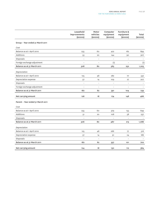|                                   | Leasehold<br>improvements<br>$(s$ ooos $)$ | Motor<br>vehicles<br>$(s$ ooos $)$ | Computer<br>equipment<br>$(s$ ooos $)$ | Furniture &<br>equipment<br>$(s$ ooos $)$ | Total<br>$(s$ ooos $)$   |
|-----------------------------------|--------------------------------------------|------------------------------------|----------------------------------------|-------------------------------------------|--------------------------|
| Group - Year ended 31 March 2011  |                                            |                                    |                                        |                                           |                          |
| Cost                              |                                            |                                    |                                        |                                           |                          |
| Balance as at 1 April 2010        | 255                                        | 60                                 | 422                                    | 162                                       | 899                      |
| Additions                         | 53                                         | 20                                 | 144                                    | 90                                        | 307                      |
| Disposals                         | $\overline{a}$                             | $\overline{a}$                     | $\overline{a}$                         | $\overline{\phantom{m}}$                  |                          |
| Foreign exchange adjustment       | $\overline{\phantom{a}}$                   | $\qquad \qquad -$                  | (1)                                    | $\overline{\phantom{a}}$                  | (1)                      |
| Balance as at 31 March 2011       | 308                                        | 80                                 | 565                                    | 252                                       | 1,205                    |
| Depreciation                      |                                            |                                    |                                        |                                           |                          |
| Balance as at 1 April 2010        | 125                                        | 48                                 | 282                                    | 77                                        | 532                      |
| Depreciation expense              | 57                                         | 14                                 | 109                                    | 27                                        | 207                      |
| Disposals                         | $\overline{\phantom{0}}$                   | $\overline{\phantom{0}}$           | $\overline{\phantom{0}}$               | $\overline{\phantom{a}}$                  |                          |
| Foreign exchange adjustment       | $\overline{a}$                             | $\qquad \qquad -$                  | $\qquad \qquad -$                      | $\overline{\phantom{a}}$                  | $\overline{\phantom{0}}$ |
| Balance as at 31 March 2011       | 182                                        | 62                                 | 391                                    | 104                                       | 739                      |
| Net carrying amount               | 126                                        | 18                                 | 174                                    | 148                                       | 466                      |
| Parent - Year ended 31 March 2011 |                                            |                                    |                                        |                                           |                          |
| Cost                              |                                            |                                    |                                        |                                           |                          |
| Balance as at 1 April 2010        | 255                                        | 60                                 | 379                                    | 155                                       | 849                      |
| Additions                         | 51                                         | 20                                 | 108                                    | 58                                        | 237                      |
| Disposals                         |                                            | $\overline{a}$                     | $\overline{a}$                         | $\qquad \qquad -$                         |                          |
| Balance as at 31 March 2011       | 306                                        | 80                                 | 487                                    | 213                                       | 1,086                    |
| Depreciation                      |                                            |                                    |                                        |                                           |                          |
| Balance as at 1 April 2010        | 125                                        | 48                                 | 266                                    | 77                                        | 516                      |
| Depreciation expense              | 57                                         | 14                                 | 91                                     | 24                                        | 186                      |
| Disposals                         | $\overline{\phantom{0}}$                   | $\qquad \qquad -$                  | $\overline{\phantom{0}}$               | $\overline{\phantom{a}}$                  |                          |
| Balance as at 31 March 2011       | 182                                        | 62                                 | 357                                    | 101                                       | 702                      |
| Net carrying amount               | 124                                        | 18                                 | 130                                    | 112                                       | 384                      |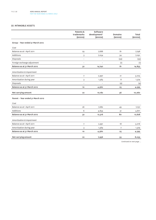### **10. INTANGIBLE ASSETS**

|                                      | Patents &<br>trademarks<br>$(s$ ooos $)$ | Software<br>development*<br>$(s$ ooos $)$ | Domains<br>$(s$ ooos $)$ | Total<br>$(s$ ooos $)$ |
|--------------------------------------|------------------------------------------|-------------------------------------------|--------------------------|------------------------|
| Group - Year ended 31 March 2012     |                                          |                                           |                          |                        |
| Cost                                 |                                          |                                           |                          |                        |
| Balance as at 1 April 2011           | 29                                       | 7,688                                     | 81                       | 7,798                  |
| Additions                            | 3                                        | 7,054                                     | 34                       | 7,091                  |
| Disposals                            | $\overline{\phantom{0}}$                 | $\overline{a}$                            | (33)                     | (33)                   |
| Foreign exchange adjustment          | $\qquad \qquad -$                        | $\overline{a}$                            | (1)                      | (1)                    |
| Balance as at 31 March 2012          | 32                                       | 14,742                                    | 81                       | 14,855                 |
| <b>Amortisation &amp; impairment</b> |                                          |                                           |                          |                        |
| Balance as at 1 April 2011           | 7                                        | 2,997                                     | 21                       | 3,025                  |
| Amortisation during year             | 3                                        | 1,563                                     | 8                        | 1,574                  |
| Disposals                            | $\overline{\phantom{0}}$                 |                                           | (4)                      | (4)                    |
| Balance as at 31 March 2012          | 10                                       | 4,560                                     | 25                       | 4,595                  |
| Net carrying amount                  | 22                                       | 10,182                                    | 56                       | 10,260                 |
| Parent - Year ended 31 March 2012    |                                          |                                           |                          |                        |
| Cost                                 |                                          |                                           |                          |                        |
| Balance as at 1 April 2011           | 26                                       | 7,682                                     | 49                       | 7,757                  |
| Additions                            | 6                                        | 4,834                                     | 31                       | 4,871                  |
| Balance as at 31 March 2012          | 32                                       | 12,516                                    | 80                       | 12,628                 |
| Amortisation & impairment            |                                          |                                           |                          |                        |
| Balance as at 1 April 2011           | 7                                        | 2,991                                     | 18                       | 3,016                  |
| Amortisation during year             | 3                                        | 1,569                                     | 7                        | 1,579                  |
| Balance as at 31 March 2012          | 10                                       | 4,560                                     | 25                       | 4,595                  |
| Net carrying amount                  | 22                                       | 7,956                                     | 55                       | 8,033                  |

*Continued on next page ...*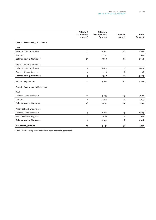|                                   | Patents &<br>trademarks | Software<br>development* | <b>Domains</b> | Total         |
|-----------------------------------|-------------------------|--------------------------|----------------|---------------|
|                                   | $(s$ ooos $)$           | $(s$ ooos $)$            | $(s$ ooos $)$  | $(s$ ooos $)$ |
| Group - Year ended 31 March 2011  |                         |                          |                |               |
| Cost                              |                         |                          |                |               |
| Balance as at 1 April 2010        | 22                      | 4,935                    | 70             | 5,027         |
| Additions                         | 7                       | 2,753                    | 11             | 2,771         |
| Balance as at 31 March 2011       | 29                      | 7,688                    | 81             | 7,798         |
| Amortisation & impairment         |                         |                          |                |               |
| Balance as at 1 April 2010        | 5                       | 2,061                    | 13             | 2,079         |
| Amortisation during year          | $\overline{2}$          | 936                      | 8              | 946           |
| Balance as at 31 March 2011       | 7                       | 2,997                    | 21             | 3,025         |
| Net carrying amount               | 22                      | 4,691                    | 60             | 4,773         |
| Parent - Year ended 31 March 2011 |                         |                          |                |               |
| Cost                              |                         |                          |                |               |
| Balance as at 1 April 2010        | 22                      | 4,935                    | 45             | 5,002         |
| <b>Additions</b>                  | $\overline{4}$          | 2,747                    | $\overline{4}$ | 2,755         |
| Balance as at 31 March 2011       | 26                      | 7,682                    | 49             | 7,757         |
| Amortisation & impairment         |                         |                          |                |               |
| Balance as at 1 April 2010        | 5                       | 2,061                    | 13             | 2,079         |
| Amortisation during year          | $\overline{2}$          | 930                      | 5              | 937           |
| Balance as at 31 March 2011       | 7                       | 2,991                    | 18             | 3,016         |
| Net carrying amount               | 19                      | 4,691                    | 31             | 4,741         |

\*Capitalised development costs have been internally generated.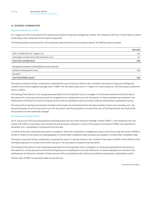### **11. BUSINESS COMBINATIONS**

### Paycycle Holdings Pty Limited

On 1 August 2011 the Group acquired the assets and business of Paycycle Holdings Pty Limited. The transaction will cost a total of NZ \$1.9 million comprising a cash component and an equity component.

The following table summarises the cash component paid and the amount of assets acquired. No liabilities were assumed.

|                                                    | $(s$ ooos $)$ |
|----------------------------------------------------|---------------|
| Cash consideration at 1 August 2011                | 377           |
| Contingent consideration paid December 2011        | 251           |
| Total cash consideration                           | 628           |
| Recognised amounts of identifiable assets acquired |               |
| Software development costs                         | 628           |
| Goodwill                                           |               |
| Total identifiable assets                          | 628           |

The equity component of the consideration comprised the issue of 606,130 shares in Xero Limited to the owners of Paycycle Holdings Pty Limited at the volume weighted average price ("VWAP") for the twenty days prior to 1 August 2011 which was \$2.13. The total equity component was \$1.3 million.

The vesting of the shares is to be recognised separately from the acquisition and is contingent on continued employment by the Group of the owners for a three year period and will be recognised as an employment cost over that period. As these employees are involved in the development of software an element of these amounts will be capitalised under the Group's software development capitalisation policy.

The revenue from the Paycycle business included in the Group's Income Statement for the period ended 31 March 2012 was \$235,000. The Paycycle business incurred a loss of \$110,000 for the period. Had the acquisition occured at the start of the financial year the result of the Group would not have materially changed.

### Max Solutions Holdings Limited

On 27 January 2012 the Group acquired the remaining shares (84.1%) in Max Solutions Holdings Limited ("MSHL"). The transaction will cost a total of \$6 million comprising a cash component and an equity component. Control of the assets and business of MSHL was obtained on 1 November 2011, consolidation commenced from this date.

\$1 million of the cash component was paid on completion. Deferred consideration arrangements require the Group to pay the owners of MSHL a further \$1 million in cash; \$500,000 being payable six months after completion date and \$500,000 payable 12 months after completion date.

The equity component of the consideration comprised the issue of 1,261,830 shares in Xero Limited to the owners of MSHL at the VWAP price for the twenty days prior to 23 March 2012 which was \$3.17. The total equity component was \$4 million.

The vesting of the shares is to be recognised separately from the acquisition and is contingent on continued employment by the Group of the owners for a three year period and will be recognised as an employment cost over that period. As these employees are involved in the development of software an element of these amounts will be capitalised under the Group's software development capitalisation policy.

The fair value of MSHL at acquisition date was \$2,378,000.

*Continued on next page ...*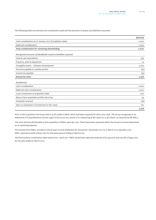The following table summarises the consideration paid and the amounts of assets and liabilities assumed:

|                                                                  | $(s$ ooos $)$ |
|------------------------------------------------------------------|---------------|
| Cash consideration at 27 January 2012 (Completion date)          | 1,000         |
| Deferred consideration                                           | 1,000         |
| Total consideration for remaining shareholding                   | 2,000         |
| Recognised amounts of identifiable assets & liabilities acquired |               |
| Cash & cash equivalents                                          | 259           |
| Property, plant & equipment                                      | 14            |
| Intangible assets - software development                         | 2,204         |
| Amounts payable to outside parties                               | (47)          |
| Income tax payable                                               | (52)          |
| Enterprise value                                                 | 2,378         |
| Satisfied by:                                                    |               |
| Cash consideration                                               | 1,000         |
| Deferred cash consideration                                      | 1,000         |
| 15.9% investment at acquisition date                             | 200           |
| Share of pre-acquisition profits net of tax                      | 34            |
| Dividends received                                               | (26)          |
| Gain on revaluation of investment to fair value                  | 170           |
|                                                                  | 2,378         |

Prior to the acquisition the Group held a 15.9% stake in MSHL which had been acquired for \$200,000 cash. The Group recognised in its Statement of Comprehensive Income a gain of \$170,000 as a result of re-measuring at fair value its 15.9% share, as required by NZ IFRS 3.

The costs directly attributable to the acquisition of MSHL were \$51,000. These have been expensed within the Group's Income Statements as an operating expense.

The revenue from MSHL included in the Group's Income Statement for the period 1 November 2011 to 31 March 2012 was \$601,000. MSHL reported a profit of \$251,000 for the same period ending 31 March 2012.

Had the business combination taken place from 1 April 2011, MSHL would have reported revenues of \$1,299,000 and a profit of \$492,000 for the year ended 31 March 2012.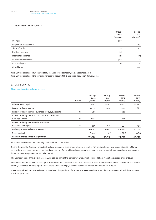### **12. INVESTMENT IN ASSOCIATE**

|                          | Group<br>2012<br>$(s$ ooos $)$ | Group<br>2011<br>$(s$ ooos $)$ |
|--------------------------|--------------------------------|--------------------------------|
| At 1 April               | 207                            |                                |
| Acquisition of associate | $\qquad \qquad =$              | 200                            |
| Share of profit          | 38                             | 10 <sup>°</sup>                |
| Dividend received        | (26)                           |                                |
| Income tax expense       | (11)                           | (3)                            |
| Consideration received   | (378)                          |                                |
| Gain on disposal         | 170                            |                                |
| At 31 March              |                                | 207                            |

Xero Limited purchased 189 shares of MSHL, an unlisted company, on 24 December 2010. Xero Limited purchased the remaining shares to acquire MSHL as a subsidiary on 27 January 2012.

### **13. SHARE CAPITAL**

### Movement in ordinary shares on issue

|                                                        |              | Group<br>2012 | Group<br>2011 | Parent<br>2012 | Parent<br>2011 |
|--------------------------------------------------------|--------------|---------------|---------------|----------------|----------------|
|                                                        | <b>Notes</b> | (000s)        | (000s)        | (ooos)         | (000s)         |
| Balance as at 1 April                                  |              | 91,012        | 87,631        | 91,012         | 87,640         |
| Issue of ordinary shares                               |              | 13,352        | 2,681         | 13,352         | 2,681          |
| Issue of ordinary shares - purchase of Paycycle assets | 11           | 606           |               | 606            |                |
| Issue of ordinary shares - purchase of Max Solutions   |              |               |               |                |                |
| <b>Holdings Limited</b>                                | 11           | 1,262         |               | 1,262          |                |
| Issue of ordinary shares under employee                |              |               |               |                |                |
| restricted share plan                                  | 21           | 550           | 700           | 550            | 691            |
| Ordinary shares on issue at 31 March                   |              | 106,782       | 91,012        | 106,782        | 91,012         |
| Treasury stock                                         |              | (2,683)       | (763)         | (2,683)        | (763)          |
| Ordinary shares on issue at 31 March                   |              | 104,099       | 90,249        | 104,099        | 90,249         |

All shares have been issued, are fully paid and have no par value.

During the year the Company undertook a share placement programme whereby a total of 7.27 million shares were issued at \$2.75. In March 2012 a Share Purchase Plan was completed with a total of 5.69 million shares issued at \$2.75 to existing shareholders. In addition, shares were issued to key management personnel (note 15).

The Company issued 550,000 shares in June 2011 as part of the Company's Employee Restricted Share Plan at an average price of \$2.29.

Included within the value of share capital are transaction costs associated with the issue of new ordinary shares. These transaction costs were directly associated with the equity transactions and accordingly have been accounted for as a deduction from equity.

Treasury stock includes shares issued in relation to the purchase of the Paycycle assets and MSHL and the Employee Restricted Share Plan and that have yet to vest.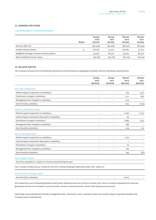### **14. EARNINGS PER SHARE**

### Loss attributable to ordinary shareholders:

|                                            | <b>Notes</b> | Group<br>2012<br>(ooos) | Group<br>2011<br>(ooos) | Parent<br>2012<br>(ooos) | Parent<br>2011<br>(ooos) |
|--------------------------------------------|--------------|-------------------------|-------------------------|--------------------------|--------------------------|
| Net loss after tax                         |              | $(*7,904)$              | $(*7,487)$              | (\$8,322)                | $(*7,594)$               |
| Issued ordinary shares                     | 13           | 106.782                 | 91,012                  | 106.782                  | 91,012                   |
| Weighted average of issued ordinary shares |              | 93,472                  | 89,322                  | 93,472                   | 89,322                   |
| Basic & diluted loss per share             |              | (\$0.08)                | (\$0.08)                | (\$0.09)                 | (\$0.09)                 |

### **15. RELATED PARTIES**

The Company entered into the following transactions and had balances (payable)/receivable with the following related parties:

|                                                                                                      | Group<br>2012<br>$(s$ ooos $)$ | Group<br>2011<br>$(s$ ooos $)$ | Parent<br>2012<br>$(s$ ooos $)$ | Parent<br>2011<br>$(s$ ooos $)$ |
|------------------------------------------------------------------------------------------------------|--------------------------------|--------------------------------|---------------------------------|---------------------------------|
| Xero (UK) Limited (UK)                                                                               |                                |                                |                                 |                                 |
| Market support payments to subsidiary                                                                | $\overline{\phantom{0}}$       |                                | 739                             | 1,421                           |
| Distribution charge to subsidiary                                                                    |                                |                                | 1,211                           | 985                             |
| Management fee charged to subsidiary                                                                 |                                |                                | 224                             |                                 |
| Due from/(to) subsidiary                                                                             | $\overline{\phantom{0}}$       |                                | 693                             | (140)                           |
| Xero Pty Limited (Australia)                                                                         |                                |                                |                                 |                                 |
| Market support payments to subsidiary                                                                |                                |                                | 2,652                           | 2,223                           |
| Intercompany transaction fees paid to subsidiary                                                     | $\overline{\phantom{0}}$       |                                | 39                              |                                 |
| Distribution charge to subsidiary                                                                    | $\overline{a}$                 |                                | 1,889                           | 1,319                           |
| Management fee charged to subsidiary                                                                 |                                |                                | 488                             |                                 |
| Due from/(to) subsidiary                                                                             |                                |                                | 474                             | 122                             |
| Xero Inc (United States)                                                                             |                                |                                |                                 |                                 |
| Market support payments to subsidiary                                                                | $\overline{\phantom{0}}$       | $\overline{\phantom{0}}$       | 1,312                           |                                 |
| Intercompany transaction fees paid to subsidiary                                                     | $\overline{\phantom{0}}$       | $\overline{\phantom{0}}$       | $\mathbf{1}$                    |                                 |
| Distribution charge to subsidiary                                                                    | $\overline{\phantom{0}}$       |                                | 79                              |                                 |
| Management fee charged to subsidiary                                                                 |                                |                                | 184                             |                                 |
| Due from/(to) subsidiary                                                                             |                                |                                | 333                             | (67)                            |
| <b>Xero Trustee Limited</b>                                                                          |                                |                                |                                 |                                 |
| Due from subsidiary in relation to shares issued during the year                                     |                                |                                | $\overline{\phantom{a}}$        |                                 |
| Xero Trustee Limited acts as Trustee for the Xero Limited Employee Restricted Share Plan. (Note 21). |                                |                                |                                 |                                 |
| <b>Max Solutions Holdings Limited</b>                                                                |                                |                                |                                 |                                 |
| Due from/(to) subsidiary                                                                             |                                |                                | (200)                           |                                 |

All transactions and outstanding balances with these related parties are priced to provide a fair return on assets employed and revenues generated and are to be settled in cash and under normal commercial terms. None of the balances are secured.

Operating revenue/(expense) includes management fees, distributor costs, transaction fees and market support payments between the Company and its subsidiaries.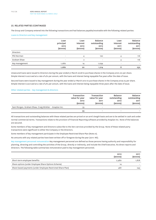### **15. RELATED PARTIES (CONTINUED)**

The Group and Company entered into the following transactions and had balances payable/receivable with the following related parties:

Loans to Directors and key management

|                  | Loan<br>principal<br>2012<br>$(s$ ooos $)$ | Loan<br>interest<br>2012<br>$(s$ ooos $)$ | <b>Balance</b><br>outstanding<br>2012<br>(\$000S) | Loan<br>interest<br>2011<br>$(s$ ooos $)$ | Balance<br>outstanding<br>2011<br>$(s$ ooos $)$ |
|------------------|--------------------------------------------|-------------------------------------------|---------------------------------------------------|-------------------------------------------|-------------------------------------------------|
| <b>Directors</b> |                                            |                                           |                                                   |                                           |                                                 |
| Phil Norman      | $\sim$                                     | 4                                         | 120                                               |                                           | 116                                             |
| Graham Shaw      | $\overline{\phantom{a}}$                   | $\overline{2}$                            | $\overline{\phantom{a}}$                          | 4                                         | 116                                             |
| Key management   | 1,080                                      | 14                                        | 1,094                                             | ۰                                         |                                                 |
|                  | 1,080                                      | 20                                        | 1,214                                             | 8                                         | 232                                             |

Unsecured loans were issued to Directors during the year ended 31 March 2008 to purchase shares in the Company at \$1.00 per share. Simple interest is accrued at a rate of 4% per annum, with the loans and interest being repayable five years after the date of issue.

Secured loans were issued to key management during the year ended 31 March 2012 to purchase shares in the Company at \$2.75 per share. Simple interest is accrued at a rate of 4% per annum, with the loans and interest being repayable three years after the date of issue.

### Other related parties – key management & directors

|                                                       | Transaction<br>value for year<br>2012<br>$(s$ ooos $)$ | Transaction<br>value for year<br>2011<br>$(s$ ooos $)$ | <b>Balance</b><br>outstanding<br>2012<br>$(s$ ooos $)$ | Balance<br>outstanding<br>2011<br>$(s$ ooos $)$ |
|-------------------------------------------------------|--------------------------------------------------------|--------------------------------------------------------|--------------------------------------------------------|-------------------------------------------------|
| Sam Morgan, Graham Shaw, Craig Winkler - Anaplan Inc. | 55                                                     | $\qquad \qquad -$                                      |                                                        |                                                 |
|                                                       | 55                                                     | $\overline{\phantom{0}}$                               | -                                                      |                                                 |

All transactions and outstanding balances with these related parties are priced on an arm's length basis and are to be settled in cash and under normal commercial terms. Transactions relate to the provision of Financial Reporting software provided by Anaplan Inc. None of the balances are secured.

Some members of key management and Directors subscribe to the Xero services provided by the Group. None of these related party transactions were significant to either the Company or the Directors.

Some members of key management participate in the Employee Restricted Share Plan (Note 21).

No amounts with any related parties have been written off or foregone during the year (2011: Nil).

Key management personnel remuneration Key management personnel are defined as those persons having authority and responsibility for planning, directing and controlling the activities of the Group, directly or indirectly, and include the Chief Executive, his direct reports and Directors. The following table summarises remuneration paid to key management personnel.

|                                                             | 2012<br>$(s$ ooos $)$ | 2011<br>$(s$ ooos $)$ |
|-------------------------------------------------------------|-----------------------|-----------------------|
| Short-term employee benefits                                | 2,480                 | 1,878                 |
| Share options (under Employee Share Options Scheme)         | 14                    |                       |
| Share based payments (under Employee Restricted Share Plan) | 487                   | 243                   |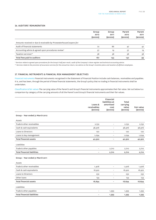### **16. AUDITORS' REMUNERATION**

|                                                                     | Group<br>2012<br>$(s$ ooos $)$ | Group<br>2011<br>$(s$ ooos $)$ | Parent<br>2012<br>$(s$ ooos $)$ | Parent<br>2011<br>$(s$ ooos $)$ |
|---------------------------------------------------------------------|--------------------------------|--------------------------------|---------------------------------|---------------------------------|
| Amounts received or due & receivable by PricewaterhouseCoopers for: |                                |                                |                                 |                                 |
| Audit of financial statements                                       | 72                             | 86                             | 47                              | 42                              |
| Accounting advice & agreed upon procedures review*                  | 57                             | 19                             | 57                              | 19                              |
| Taxation services**                                                 | 38                             | 38                             | 38                              | 38                              |
| Total fees paid to auditors                                         | 167                            | 143                            | 142                             | 99                              |

*\* Services relate to agreed upon procedures for the Group's half year result, audit of the Company's share register and technical accounting advice.*

*\*\* Services relate to the provision of assurance services for the annual tax return, tax advice on the Group's incentive plans and taxation of offshore employees.*

# **17. FINANCIAL INSTRUMENTS & FINANCIAL RISK MANAGEMENT OBJECTIVES**

Financial instruments Financial instruments recognised in the Statement of Financial Position include cash balances, receivables and payables. It is, and has been, through the period of these financial statements, the Group's policy that no trading in financial instruments shall be undertaken.

Classification & fair values The carrying value of the Parent's and Group's financial instruments approximates their fair value. Set out below is a comparison by category of the carrying amounts of all the Parent's and Group's financial instruments and their fair values.

|                                    | Loans &<br>receivables<br>$(s$ ooos $)$ | Financial<br>liabilities at<br>amortised<br>cost<br>$(s$ ooos $)$ | Total<br>carrying<br>value<br>$(s$ ooos $)$ | Fair value<br>$(s$ ooos $)$ |
|------------------------------------|-----------------------------------------|-------------------------------------------------------------------|---------------------------------------------|-----------------------------|
| Group - Year ended 31 March 2012   |                                         |                                                                   |                                             |                             |
| Assets                             |                                         |                                                                   |                                             |                             |
| Trade & other receivables          | 2,732                                   | $\qquad \qquad -$                                                 | 2,732                                       | 2,732                       |
| Cash & cash equivalents            | 38,976                                  | $\overline{\phantom{a}}$                                          | 38,976                                      | 38,976                      |
| Loans to Directors                 | 120                                     | $\overline{\phantom{a}}$                                          | 120                                         | 120                         |
| Loans to key management            | 1,094                                   | $\overline{\phantom{a}}$                                          | 1,094                                       | 1,094                       |
| <b>Total financial assets</b>      | 42,922                                  | $\overline{\phantom{m}}$                                          | 42,922                                      | 42,922                      |
| Liabilities                        |                                         |                                                                   |                                             |                             |
| Trade & other payables             | $\qquad \qquad -$                       | 2,710                                                             | 2,710                                       | 2,710                       |
| <b>Total financial liabilities</b> | $\qquad \qquad -$                       | 2,710                                                             | 2,710                                       | 2,710                       |
| Group - Year ended 31 March 2011   |                                         |                                                                   |                                             |                             |
| Assets                             |                                         |                                                                   |                                             |                             |
| Trade & other receivables          | 1,406                                   | $\qquad \qquad -$                                                 | 1,406                                       | 1,406                       |
| Cash & cash equivalents            | 16,922                                  | $\overline{\phantom{0}}$                                          | 16,922                                      | 16,922                      |
| Loans to Directors                 | 232                                     | $\qquad \qquad -$                                                 | 232                                         | 232                         |
| Other loans                        | 134                                     | $\overline{\phantom{a}}$                                          | 134                                         | 134                         |
| <b>Total financial assets</b>      | 18,694                                  | $\overline{\phantom{a}}$                                          | 18,694                                      | 18,694                      |
| Liabilities                        |                                         |                                                                   |                                             |                             |
| Trade & other payables             | $\overline{\phantom{a}}$                | 1,393                                                             | 1,393                                       | 1,393                       |
| <b>Total financial liabilities</b> | $\qquad \qquad -$                       | 1,393                                                             | 1,393                                       | 1,393                       |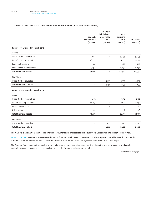### **17. FINANCIAL INSTRUMENTS & FINANCIAL RISK MANAGEMENT OBJECTIVES (CONTINUED)**

|                                    |                                         | Financial<br>liabilities at        | Total                              |                             |
|------------------------------------|-----------------------------------------|------------------------------------|------------------------------------|-----------------------------|
|                                    | Loans &<br>receivables<br>$(s$ ooos $)$ | amortised<br>cost<br>$(s$ ooos $)$ | carrying<br>value<br>$(s$ ooos $)$ | Fair value<br>$(s$ ooos $)$ |
| Parent - Year ended 31 March 2012  |                                         |                                    |                                    |                             |
| Assets                             |                                         |                                    |                                    |                             |
| Trade & other receivables          | 5,035                                   | $\qquad \qquad -$                  | 5,035                              | 5,035                       |
| Cash & cash equivalents            | 36,722                                  | $\overline{\phantom{0}}$           | 36,722                             | 36,722                      |
| Loans to Directors                 | 120                                     | $\qquad \qquad -$                  | 120                                | 120                         |
| Loans to key management            | 1,094                                   | $\overline{\phantom{0}}$           | 1,094                              | 1,094                       |
| <b>Total financial assets</b>      | 42,971                                  | -                                  | 42,971                             | 42,971                      |
| Liabilities                        |                                         |                                    |                                    |                             |
| Trade & other payables             | $\overline{\phantom{a}}$                | 4,197                              | 4,197                              | 4,197                       |
| <b>Total financial liabilities</b> | $\overline{\phantom{a}}$                | 4,197                              | 4,197                              | 4,197                       |
| Parent - Year ended 31 March 2011  |                                         |                                    |                                    |                             |
| Assets                             |                                         |                                    |                                    |                             |
| Trade & other receivables          | 1,172                                   | $\overline{\phantom{0}}$           | 1,172                              | 1,172                       |
| Cash & cash equivalents            | 16,651                                  | $\overline{a}$                     | 16,651                             | 16,651                      |
| Loans to Directors                 | 232                                     | $\qquad \qquad -$                  | 232                                | 232                         |
| Other loans                        | 116                                     | $\overline{a}$                     | 116                                | 116                         |
| <b>Total financial assets</b>      | 18,171                                  | $\overline{\phantom{a}}$           | 18,171                             | 18,171                      |
| Liabilities                        |                                         |                                    |                                    |                             |
| Trade & other payables             | $\overline{\phantom{0}}$                | 1,240                              | 1,240                              | 1,240                       |
| <b>Total financial liabilities</b> | ۰                                       | 1,240                              | 1,240                              | 1,240                       |

The main risks arising from the Group's financial instruments are interest rate risk, liquidity risk, credit risk and foreign currency risk.

Interest rate risk The Group's interest rate risk arises from its cash balances. These are placed on deposit at variable rates that expose the Group to cash flow interest rate risk. The Group does not enter into forward rate agreements or any interest rate hedges.

The Company's management regularly reviews its banking arrangements to ensure that it achieves the best returns on its funds while maintaining access to necessary cash levels to service the Company's day-to-day activities.

*Continued on next page ...*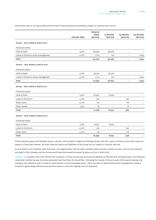The interest rate re-pricing profiles of the Group's financial assets and liabilities subject to interest rate risk are:

|                                     |                      | <b>Balance</b><br>sheet | 12 Months         | 24 Months                | >24 Months    |
|-------------------------------------|----------------------|-------------------------|-------------------|--------------------------|---------------|
|                                     | <b>Interest Rate</b> | $(s$ ooos $)$           | $(s$ ooos $)$     | $(s$ ooos $)$            | $(s$ ooos $)$ |
| Group - Year ended 31 March 2012    |                      |                         |                   |                          |               |
| Financial assets                    |                      |                         |                   |                          |               |
| Cash at bank                        | 4.9%                 | 38,976                  | 38,976            | $\overline{\phantom{0}}$ |               |
| Loans to Directors & key management | 4.0%                 | 1,214                   | 120               | $\overline{a}$           | 1,094         |
| Total                               |                      | 40,190                  | 39,096            | $\overline{\phantom{a}}$ | 1,094         |
| Parent - Year ended 31 March 2012   |                      |                         |                   |                          |               |
| Financial assets                    |                      |                         |                   |                          |               |
| Cash at bank                        | 4.9%                 | 36,722                  | 36,722            | $\qquad \qquad -$        |               |
| Loans to Directors & key management | 4.0%                 | 1,214                   | 120               | $\overline{a}$           | 1,094         |
| Total                               |                      | 37,936                  | 36,842            | $\overline{\phantom{a}}$ | 1,094         |
| Group - Year ended 31 March 2011    |                      |                         |                   |                          |               |
| Financial assets                    |                      |                         |                   |                          |               |
| Cash at bank                        | 4.9%                 | 16,922                  | 16,922            | $\overline{\phantom{a}}$ |               |
| Loans to Directors                  | 4.0%                 | 232                     | $\overline{a}$    | 232                      |               |
| Other loans                         | $4.0\%$              | 116                     | $\qquad \qquad -$ | 116                      |               |
| Other assets                        | $5.5\%$              | 18                      | $\qquad \qquad -$ | 18                       |               |
| Total                               |                      | 17,288                  | 16,922            | 366                      |               |
| Parent - Year ended 31 March 2011   |                      |                         |                   |                          |               |
| Financial assets                    |                      |                         |                   |                          |               |
| Cash at bank                        | 4.9%                 | 16,651                  | 16,651            | $\overline{\phantom{a}}$ |               |
| Loans to Directors                  | 4.0%                 | 232                     |                   | 232                      |               |
| Other loans                         | $4.0\%$              | 116                     |                   | 116                      |               |
| Total                               |                      | 16,999                  | 16,651            | 348                      |               |

As at 31 March 2012 if interest rates had been 1.0% higher/lower with all other variables held constant, interest income, net loss and retained earnings for the Company and the Group would have decreased/increased by \$364,000 (2011: \$186,000).

Liquidity risk Liquidity risk is the risk that the Company or Group cannot pay contractual liabilities as they fall due. During the year, the Company raised \$36.6 million by way of private placement and the Share Purchase Plan. Following the receipt of the proceeds of the capital raising, the Company has sufficient cash to meet its requirements in the foreseeable future. The Group has no debt and therefore management remains focused on generating sufficient revenue from sales to cover the ongoing costs of operation.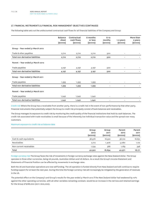### **17. FINANCIAL INSTRUMENTS & FINANCIAL RISK MANAGEMENT OBJECTIVES (CONTINUED)**

The following table sets out the undiscounted contractual cash flows for all financial liabilities of the Company and Group:

|                                   | <b>Balance</b><br>sheet<br>$(s$ ooos $)$ | Contractual<br>cash flows<br>$(s$ ooos $)$ | 6 months<br>or less<br>$(s$ ooos $)$ | $6 - 12$<br>months<br>$(s$ ooos $)$ | 1-2 years<br>$(s$ ooos $)$ | More than<br>2 years<br>$(s$ ooos $)$ |
|-----------------------------------|------------------------------------------|--------------------------------------------|--------------------------------------|-------------------------------------|----------------------------|---------------------------------------|
| Group - Year ended 31 March 2012  |                                          |                                            |                                      |                                     |                            |                                       |
| Trade & other payables            | 2,710                                    | 2,710                                      | 2,710                                | 500                                 |                            |                                       |
| Total non-derivative liabilities  | 2,710                                    | 2,710                                      | 2,710                                | 500                                 |                            |                                       |
| Parent - Year ended 31 March 2012 |                                          |                                            |                                      |                                     |                            |                                       |
| Trade payables                    | 4,197                                    | 4,197                                      | 3,197                                | 500                                 | $\overline{\phantom{0}}$   |                                       |
| Total non-derivative liabilities  | 4,197                                    | 4,197                                      | 3,197                                | 500                                 | $\overline{\phantom{a}}$   |                                       |
| Group - Year ended 31 March 2011  |                                          |                                            |                                      |                                     |                            |                                       |
| Trade payables                    | 1,393                                    | 1,393                                      | 1,393                                | $\overline{a}$                      | -                          |                                       |
| Total non-derivative liabilities  | 1,393                                    | 1,393                                      | 1,393                                | ۰                                   |                            |                                       |
| Parent - Year ended 31 March 2011 |                                          |                                            |                                      |                                     |                            |                                       |
| Trade payables                    | 1,240                                    | 1,240                                      | 1,240                                | $\qquad \qquad -$                   | $\overline{\phantom{m}}$   |                                       |
| Total non-derivative liabilities  | 1,240                                    | 1,240                                      | 1,240                                |                                     |                            |                                       |

Credit risk Where the Group has a receivable from another party, there is a credit risk in the event of non-performance by that other party. Financial instruments that potentially subject the Group to credit risk principally consist of bank balances and receivables.

The Group manages its exposure to credit risk by monitoring the credit quality of the financial institutions that hold its cash balances. The credit risk associated with trade receivables is small because of the inherently low individual transaction value and the spread over many customers.

### Maximum exposure to credit risk at balance date

|                         | Group<br>2012<br>$(s$ ooos $)$ | Group<br>2011<br>$(s$ ooos $)$ | Parent<br>2012<br>$(s$ ooos $)$ | Parent<br>2011<br>$($ \$000s $)$ |
|-------------------------|--------------------------------|--------------------------------|---------------------------------|----------------------------------|
| Cash & cash equivalents | 38,976                         | 16,922                         | 36,722                          | 16,651                           |
| Receivables             | 2,712                          | 1,406                          | 5,080                           | 1,172                            |
| Non-current receivables | 1,234                          | 366                            | 1,169                           | 348                              |
| Total                   | 42,922                         | 18,694                         | 42,971                          | 18,171                           |

Foreign currency risk The Group faces the risk of movements in foreign currency exchange rates against the New Zealand dollar. The Group operates in three other currencies, being UK pounds, Australian dollars and US dollars. As a result the Group's Income Statement and Statements of Financial Position can be affected by movements in exchange rates.

Both the UK and Australian operations are now self funding. The US operation is funded directly from New Zealand and will continue to require funding support for at least the next year. During this time the foreign currency risk will increasingly be mitigated by the generation of revenues in the US.

The potential effect on the Company's and Group's results for the year ended 31 March 2012 if the New Zealand dollar had weakened by 10% against the other operating currencies, with all other variables remaining constant, would be an increase in the net loss and retained earnings for the Group of \$188,000 (2011: \$122,000).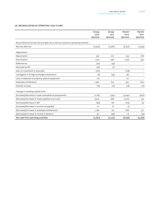### **18. RECONCILIATION OF OPERATING CASH FLOWS**

|                                                                                      | Group<br>2012<br>$(s$ ooos $)$ | Group<br>2011<br>$(s$ ooos $)$ | Parent<br>2012<br>$(s$ ooos $)$ | Parent<br>2011<br>$(s$ ooos $)$ |
|--------------------------------------------------------------------------------------|--------------------------------|--------------------------------|---------------------------------|---------------------------------|
| Reconciliation from the net loss after tax to the net cash from operating activities |                                |                                |                                 |                                 |
| Net loss after tax                                                                   | (7,904)                        | (7, 487)                       | (8, 322)                        | (7,594)                         |
| Adjustments                                                                          |                                |                                |                                 |                                 |
| Depreciation                                                                         | 320                            | 207                            | 259                             | 186                             |
| Amortisation                                                                         | 1,574                          | 946                            | 1,579                           | 937                             |
| Deferred tax                                                                         | (50)                           | (35)                           | $\qquad \qquad -$               |                                 |
| Associate profit                                                                     | (38)                           | (7)                            | $\overline{\phantom{a}}$        |                                 |
| Gain on investment in associate                                                      | (170)                          | $\overline{a}$                 | (178)                           |                                 |
| Loss/(gain) on foreign exchange transactions                                         | (8)                            | (53)                           | (8)                             |                                 |
| Loss on disposal on property, plant & equipment                                      | 119                            | $\overline{\phantom{0}}$       | 121                             |                                 |
| Employee entitlements                                                                | 1,380                          | 814                            | 950                             | 805                             |
| Interest on loans                                                                    | (18)                           | (12)                           | (18)                            | (12)                            |
| Changes in working capital items                                                     |                                |                                |                                 |                                 |
| (Increase)/decrease in trade receivables & prepayments                               | (1,162)                        | (545)                          | (3,697)                         | (407)                           |
| (Decrease)/increase in trade payables & accruals                                     | (202)                          | 688                            | 2,008                           | 415                             |
| (Increase)/decrease in GST                                                           | (84)                           | 126                            | (215)                           | 33                              |
| (Increase)/decrease in current tax payable                                           | 10 <sup>°</sup>                | 61                             | (1)                             |                                 |
| (Decrease)/increase in employee entitlements                                         | 1,282                          | 175                            | 668                             | 312                             |
| (Decrease)/increase in income in advance                                             | 90                             | (98)                           | 18                              | (41)                            |
| Net cash from operating activities                                                   | (4, 861)                       | (5, 220)                       | (6,836)                         | (5,366)                         |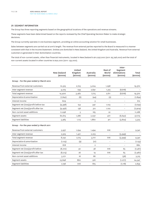### **19. SEGMENT INFORMATION**

The Group has three reporting segments based on the geographical locations of the operations and revenue streams.

These segments have been determined based on the reports reviewed by the Chief Operating Decision Maker to make strategic decisions.

The Group currently operates in one business segment, providing an online accounting solution for small businesses.

Sales between segments are carried out at arm's length. The revenue from external parties reported to the Board is measured in a manner consistent with that in the Income Statement. Entities are domiciled in New Zealand, the United Kingdom and Australia. Revenue from external customers is generated in their domiciliation countries.

The total of non-current assets, other than financial instruments, located in New Zealand is \$11,097,000 (2011: \$5,748,000) and the total of non-current assets located in other countries is \$191,000 (2011: 139,000).

|                                          | New Zealand<br>$(s$ ooos $)$ | United<br>Kingdom<br>$(s$ ooos $)$ | Australia<br>$(s$ ooos $)$ | <b>Rest of</b><br>World<br>$(s$ ooos $)$ | Inter-<br>Segment<br>eliminations<br>$(s$ ooos $)$ | Total<br>$(s$ ooos $)$ |
|------------------------------------------|------------------------------|------------------------------------|----------------------------|------------------------------------------|----------------------------------------------------|------------------------|
| Group - For the year ended 31 March 2012 |                              |                                    |                            |                                          |                                                    |                        |
| Revenue from external customers          | 10,325                       | 2,723                              | 5,024                      | 1,298                                    | $\overline{\phantom{m}}$                           | 19,370                 |
| Inter-segment revenue                    | 4,075                        | 739                                | 2,691                      | 1,313                                    | (8, 818)                                           |                        |
| Total segment revenue                    | 14,400                       | 3,462                              | 7,715                      | 2,611                                    | (8, 818)                                           | 19,370                 |
| Depreciation & amortisation              | (1, 842)                     | (6)                                | (44)                       | (2)                                      | $\overline{\phantom{a}}$                           | (1,894)                |
| Interest income                          | 609                          |                                    | 3                          |                                          | $\overline{\phantom{a}}$                           | 612                    |
| Segment net (loss)/profit before tax     | (9,398)                      | 154                                | 347                        | 1,103                                    | $\overline{\phantom{a}}$                           | (7,794)                |
| Segment net (loss)/profit after tax      | (9, 456)                     | 138                                | 312                        | 1,102                                    | $\overline{\phantom{a}}$                           | (7,904)                |
| Non-current asset additions              | 11,098                       | 3                                  | 165                        | 22                                       | $\overline{\phantom{a}}$                           | 11,288                 |
| Segment assets                           | 60,615                       | 1,286                              | 2,037                      | 477                                      | (6, 642)                                           | 57,773                 |
| Segment liabilities                      | 5,965                        | 1,113                              | 1,860                      | 411                                      | (3,824)                                            | 5,525                  |
| Group - For the year ended 31 March 2011 |                              |                                    |                            |                                          |                                                    |                        |
| Revenue from external customers          | 5,937                        | 1,294                              | 1,494                      | 616                                      |                                                    | 9,341                  |
| Inter-segment revenue                    | 2,305                        | 1,421                              | 2,223                      | $\overline{a}$                           | (5,949)                                            |                        |
| Total segment revenue                    | 8,242                        | 2,715                              | 3,717                      | 616                                      | (5,949)                                            | 9,341                  |
| Depreciation & amortisation              | (1, 123)                     | (9)                                | (21)                       | $\qquad \qquad -$                        | $\overline{\phantom{a}}$                           | (1, 153)               |
| Interest income                          | 878                          | $\overline{\phantom{0}}$           | $\overline{\mathbf{2}}$    | $\qquad \qquad -$                        | $\overline{\phantom{a}}$                           | 880                    |
| Segment net (loss)/profit before         | (8, 210)                     | 30                                 | 38                         | 616                                      | 65                                                 | (7, 461)               |
| Segment net (loss)/profit after tax      | (8, 213)                     | 26                                 | 19                         | 616                                      | 65                                                 | (7, 487)               |
| Non-current asset additions              | 3,271                        | 16                                 | 86                         | $\overline{a}$                           | (58)                                               | 3,315                  |
| Segment assets                           | 23,848                       | 860                                | 916                        | $\qquad \qquad -$                        | (1, 277)                                           | 24,347                 |
| Segment liabilities                      | 2,196                        | 706                                | 875                        | $\qquad \qquad -$                        | (1, 118)                                           | 2,659                  |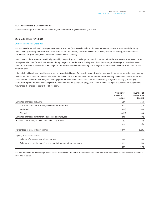There were no capital commitments or contingent liabilities as at 31 March 2012 (2011: Nil).

### **21. SHARE BASED PAYMENTS**

### Employee Restricted Share Plan

In May 2008 the Xero Limited Employee Restricted Share Plan ('RSP') was introduced for selected executives and employees of the Group. Under the RSP, ordinary shares in Xero Limited are issued to a trustee, Xero Trustee Limited, a wholly-owned subsidiary, and allocated to participants, on grant date, using funds lent to them by the Company.

Under the RSP, the shares are beneficially owned by the participants. The length of retention period before the shares vest is between one and three years. The price for each share issued during the year under the RSP is the higher of the volume-weighted average end-of-day market price reported on the New Zealand Exchange for the 20 business days immediately preceding the date on which the share is allocated or the invitation price.

If the individual is still employed by the Group at the end of this specific period, the employee is given a cash bonus that must be used to repay the loan and the shares are then transferred to the individual. The number of shares awarded is determined by the Remuneration Committee of the Board of Directors. The weighted average grant date fair value of restricted shares issued during the year was \$2.29 (2011: \$1.44). Shares with a grant date fair value of \$580,000 vested during the year (2011: \$483,000). The Group has no legal or constructive obligation to repurchase the shares or settle the RSP for cash.

|                                                                      | Number of<br>shares 2012<br>(000s) | Number of<br>shares 2011<br>(000s) |
|----------------------------------------------------------------------|------------------------------------|------------------------------------|
| Unvested shares as at 1 April                                        | 679                                | 420                                |
| Awarded pursuant to Employee Restricted Share Plan                   | 621                                | 721                                |
| Forfeited                                                            | (49)                               | (118)                              |
| Vested                                                               | (493)                              | (344)                              |
| Unvested shares as at 31 March - allocated to employees              | 758                                | 679                                |
| Forfeited shares not yet reallocated - held by Trustee               | 57                                 | 84                                 |
|                                                                      | 815                                | 763                                |
| Percentage of total ordinary shares                                  | 0.8%                               | 0.8%                               |
| Ageing of unvested shares                                            |                                    |                                    |
| Balance of shares to vest within one year                            | 455                                | 358                                |
| Balance of shares to vest after one year but not more than two years | 303                                | 321                                |
|                                                                      | 758                                | 679                                |

The number of shares awarded pursuant to the RSP does not equal the number of shares created for the scheme as forfeited shares are held in trust and reissued.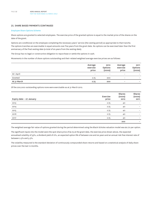### **21. SHARE BASED PAYMENTS (CONTINUED)**

### Employee Share Options Scheme

Share options are granted to selected employees. The exercise price of the granted options is equal to the market price of the shares on the date of the grant.

Options are conditional on the employee completing the necessary years' service (the vesting period) as appropriate to that tranche. The options tranches are exercisable in equal amounts over five years from the grant date. No options can be exercised later than the first anniversary of the final vesting date (a total of six years from the vesting date).

The Group has no legal or constructive obligation to repurchase or settle the options in cash.

Movements in the number of share options outstanding and their related weighted average exercise prices are as follows:

|             | Average<br>exercise<br>price | 2012<br>Options<br>(000s) | Average<br>exercise<br>price | 2011<br>Options<br>(000s) |
|-------------|------------------------------|---------------------------|------------------------------|---------------------------|
| At 1 April  | $\qquad \qquad -$            | $\qquad \qquad -$         | $\qquad \qquad -$            | $\qquad \qquad -$         |
| Granted     | 2.75                         | 200                       | $\overline{\phantom{a}}$     | -                         |
| At 31 March | 2.75                         | 200                       | $\overline{\phantom{a}}$     | $\overline{\phantom{0}}$  |

Of the 200,000 outstanding options none were exercisable as at 31 March 2012.

| Expiry date - 27 January | Exercise<br>price | <b>Shares</b><br>(ooos)<br>2012 | Shares<br>(ooos)<br>2011 |
|--------------------------|-------------------|---------------------------------|--------------------------|
| 2013                     | 2.75              | 40                              | $\qquad \qquad =$        |
| 2014                     | 2.75              | 40                              | $\qquad \qquad =$        |
| 2015                     | 2.75              | 40                              | -                        |
| 2016                     | 2.75              | 40                              |                          |
| 2017                     | 2.75              | 40                              | $\qquad \qquad =$        |
|                          |                   | 200                             | -                        |

The weighted average fair value of options granted during the period determined using the Black-Scholes valuation model was \$0.70 per option.

The significant inputs into the model were the spot share price of \$2.75 at the grant date, the exercise price shown above, the expected annualised volatility of 33%, a dividend yield of 0%, an expected option life of between one and six years and an annual risk-free interest rate of between 2.5% and 3.5%.

The volatility measured is the standard deviation of continuously compounded share returns and based on a statistical analysis of daily share prices over the last 12 months.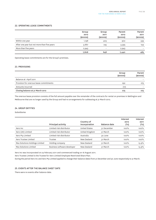### **22. OPERATING LEASE COMMITMENTS**

|                                             | Group<br>2012<br>$(s$ ooos $)$ | Group<br>2011<br>$(s$ ooos $)$ | Parent<br>2012<br>$(s$ ooos $)$ | Parent<br>2011<br>$(s$ ooos $)$ |
|---------------------------------------------|--------------------------------|--------------------------------|---------------------------------|---------------------------------|
| Within one year                             | 1,198                          | 403                            | 902                             | 339                             |
| After one year but not more than five years | 3,667                          | 245                            | 3,595                           | 144                             |
| More than five years                        | 2,943                          | -                              | 2,943                           |                                 |
|                                             | 7,808                          | 648                            | 7,440                           | 483                             |

Operating lease commitments are for the Group's premises.

### **23. PROVISIONS**

|                                         | Group<br>$(s$ ooos $)$ | Parent<br>$(s$ ooos $)$ |
|-----------------------------------------|------------------------|-------------------------|
| Balance at 1 April 2011                 |                        |                         |
| Provision for onerous lease commitments | 292                    | 275                     |
| Amounts incurred                        | (17)                   |                         |
| Closing balance at 31 March 2012        | 275                    | 275                     |

The onerous lease provision consists of the full amount payable over the remainder of the contracts for rental on premises in Wellington and Melbourne that are no longer used by the Group and had no arrangements for subleasing at 31 March 2012.

# **24. GROUP ENTITIES**

Subsidiaries

|                                | Principal activity          | Country of<br>incorporation | Balance date | Interest<br>2012<br>$($ %) | Interest<br>2011<br>$(\%)$ |
|--------------------------------|-----------------------------|-----------------------------|--------------|----------------------------|----------------------------|
| Xero Inc                       | Limited risk distributor    | <b>United States</b>        | 31 December  | 100%                       | 100%                       |
| Xero (UK) Limited              | Limited risk distributor    | United Kingdom              | 31 March     | $100\%$                    | $100\%$                    |
| Xero Pty Limited               | Limited risk distributor    | Australia                   | 30 June      | 100%                       | 100%                       |
| Xero Trustee Limited           | Trustee                     | New Zealand                 | 31 March     | 100%                       | 100%                       |
| Max Solutions Holdings Limited | Holding company             | New Zealand                 | 31 March     | 100%                       | 15.9%                      |
| Max Solutions Limited          | Business software developer | New Zealand                 | 31 March     | 100%                       | 15.9%                      |

Xero Inc was incorporated on 24 February 2011 and commenced trading on 16 August 2011.

Xero Trustee Limited is the Trustee for Xero Limited Employee Restricted Share Plan.

During the period Xero Inc and Xero Pty Limited applied to change their balance dates from 31 December and 30 June respectively to 31 March.

# **25. EVENTS AFTER THE BALANCE SHEET DATE**

There were no events after balance date.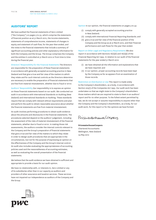# **AUDITORS' REPORT**

We have audited the financial statements of Xero Limited ("the Company") on pages 3 to 33, which comprise the statements of financial position as at 31 March 2012, the income statements, statements of comprehensive income, statements of changes in equity and statement of cash flow, for the year then ended, and the notes to the financial statements that include a summary of significant accounting policies and other explanatory information for both the Company and the Group. The Group comprises the Company and the entities it controlled at 31 March 2012 or from time to time during the financial year.

Directors' Responsibility for the Financial Statements The Directors are responsible for the preparation of these financial statements in accordance with generally accepted accounting practice in New Zealand and that give a true and fair view of the matters to which they relate and for such internal controls as the Directors determine are necessary to enable the preparation of financial statements that are free from material misstatement, whether due to fraud or error.

Auditors' Responsibility Our responsibility is to express an opinion on these financial statements based on our audit. We conducted our audit in accordance with International Standards on Auditing (New Zealand) and International Standards on Auditing. These standards require that we comply with relevant ethical requirements and plan and perform the audit to obtain reasonable assurance about whether the financial statements are free from material misstatement.

An audit involves performing procedures to obtain audit evidence about the amounts and disclosures in the financial statements. The procedures selected depend on the auditors' judgement, including the assessment of the risks of material misstatement of the financial statements, whether due to fraud or error. In making those risk assessments, the auditors consider the internal controls relevant to the Company and the Group's preparation of financial statements that give a true and fair view of the matters to which they relate in order to design audit procedures that are appropriate in the circumstances, but not for the purpose of expressing an opinion on the effectiveness of the Company and the Group's internal control. An audit also includes evaluating the appropriateness of accounting policies used and the reasonableness of accounting estimates, as well as evaluating the overall presentation of the financial statements.

We believe that the audit evidence we have obtained is sufficient and appropriate to provide a basis for our audit opinion.

We have no relationship with, or interests in, Xero Limited or any of its subsidiaries other than in our capacity as auditors and providers of other assurance and taxation services. These services have not impaired our independence as auditors of the Company and the Group.



- (i) comply with generally accepted accounting practice in New Zealand;
- (ii) comply with International Financial Reporting Standards; and
- (ii) give a true and fair view of the financial position of the Company and the Group as at 31 March 2012, and their financial performance and cash flows for the year then ended.

Report on Other Legal and Regulatory Requirements We also report in accordance with Sections 16(1)(d) and 16(1)(e) of the Financial Reporting Act 1993. In relation to our audit of the financial statements for the year ended 31 March 2012:

- (i) we have obtained all the information and explanations that we have required; and
- (ii) in our opinion, proper accounting records have been kept by the Company as far as appears from an examination of those records.

Restriction on Distribution or Use This report is made solely to the Company's shareholders, as a body, in accordance with Section 205(1) of the Companies Act 1993. Our audit work has been undertaken so that we might state to the Company's shareholders those matters which we are required to state to them in an auditors' report and for no other purpose. To the fullest extent permitted by law, we do not accept or assume responsibility to anyone other than the Company and the Company's shareholders, as a body, for our audit work, for this report or for the opinions we have formed.

Pricewaterhouse Cooper

**PricewaterhouseCoopers** Chartered Accountants Wellington, New Zealand 24 May 2012

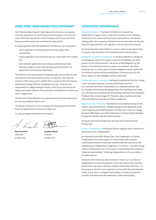# **DIRECTORS' RESPONSIBILITIES STATEMENT**

The Financial Reporting Act 1993 requires the Directors to prepare financial statements for each financial year that give a true and fair view of the financial position of the Company and Group and of the financial performance and cash flows for that period.

In preparing these financial statements, the Directors are required to:

- select suitable accounting policies and then apply them consistently;
- make judgements and estimates that are reasonable and prudent; and
- state whether applicable accounting standards have been followed, subject to any material departures disclosed and explained in the financial statements.

The Directors are responsible for keeping proper accounting records that disclose with reasonable accuracy, at any time, the financial position of the Group and to enable them to ensure that the financial statements comply with the Companies Act 1993. They are also responsible for safeguarding the assets of the Group and hence for taking reasonable steps for the prevention and detection of fraud and other irregularities.

The Directors have pleasure in presenting these financial statements for the year ended 31 March 2012.

The Board of Directors of the Company and Group authorised these financial statements for issue on 24 May 2012.

For and on behalf of the Board of Directors

**Sam Knowles** Chairman 24 May 2012



**Graham Shaw** Director 24 May 2012

# **CORPORATE GOVERNANCE**

The role of the Board The Board of Directors is elected by shareholders to govern Xero in the best interests of the Company. The Board is the overall and final body responsible for all decision– making within the Company. The Board Charter describes the Board's role and responsibilities and regulates internal Board procedures.

The Board has the responsibility to work to enhance the value of the Company in the interests of the Company and its shareholders.

Delegation of authority framework To enhance efficiency, the Board has delegated some of its powers to Board Committees and other powers to the Chief Executive. The terms of the delegation by the Board to the Chief Executive are clearly documented. The Chief Executive has, in some cases, formally delegated certain authorities to his direct reports and has established a formal process for his direct reports to sub–delegate certain authorities.

Membership size & composition The Board comprises six Directors, being a non–executive Chairman, one Executive Director and four non–executive Directors. In December 2011, Executive Director and Co–founder Hamish Edwards stepped down from the Board and in May 2012, Phil Norman announced his forthcoming retirement from the Board. The Board has a broad range of IT, financial, sales, business and other skills and expertise necessary to meet its objectives.

Selection & role of Chairman The Chairman is elected by the Board from the non–executive Directors. The Board supports the separation of the role of Chairman and Chief Executive. The Chairman's role is to manage the Board effectively, to provide leadership to the Board and to facilitate the Board's interface with the Chief Executive.

During the year Sam Knowles took over the role of Chairman from Phil Norman.

Director independence The Board Charter requires that a minimum of two Directors be "independent".

As required by the NZSX listing rules, Xero's approach to Director independence is to have regard to relationships that could (or could be perceived to) materially interfere with the exercise of the unfettered and independent judgement of a Director. The NZSX listing rules provide guidance as to the types of relationship that constitute "material relationships", affecting independence or the perception of independence.

The Board will review any determination it makes as to a Director's independence on becoming aware of any information that indicates the Director may have a relevant material relationship with Xero. For this purpose, Directors are required to ensure that they immediately advise of any new or changed relationships to enable the Board to consider and determine the materiality of the relationships.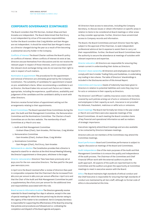# **CORPORATE GOVERNANCE (CONTINUED)**

The Board considers that Phil Norman, Graham Shaw and Sam Knowles are independent. The Board determined that Rod Drury is not independent by virtue of his executive responsibilities. Further the Board considers that Craig Winkler and Sam Morgan are not independent. It should be noted that Sam Morgan's status as a Director changed during the year as a result of him becoming a substantial security holder in the Company.

Conflicts of interest The Board Charter outlines the Board's policy on conflicts of interest. Where conflicts of interest do exist at law, Directors excuse themselves from discussions and do not receive the relevant paper in respect of those interests, and in accordance with the relevant stock exchange listing rules do not exercise their right to vote in respect of such matters.

Nomination & appointment The procedures for the appointment and removal of Directors are ultimately governed by the Company's Constitution. The suitability of candidates for appointment is based on pre–established criteria. When recommending a candidate to act as Director, the Board takes into account such factors as it deems appropriate, including the experience, qualifications, availability and judgement of the candidate and the candidate's ability to work with other Directors.

Directors receive formal letters of appointment setting out the arrangements relating to their appointments.

Board Committees The Board operated three Committees during the year: the Audit and Risk Management Committee, the Remuneration Committee and the Nominations Committee. The Charters of each Committee are on the Xero website. The membership of each Committee at 31 March 2012 was:

- 1. Audit and Risk Management Committee
	- Graham Shaw (Chair), Sam Knowles, Phil Norman, Craig Winkler
- 2. Remuneration Committee
- Sam Knowles (Chair), Graham Shaw, Craig Winkler
- 3. Nominations Committee
- Sam Morgan (Chair), Rod Drury, Sam Knowles

Retirement & re–election The Constitution provides that a Director is required to stand for re–election at the third Annual Meeting following the Director's appointment or three years, whichever is the longer.

Director remuneration Directors' fees have been previously set at \$250,000 for the non–executive Directors. The fees paid for the past year were \$220,000.

In April 2012 the Board resolved after a review of directors fees paid in comparable companies that the Chairman's fee be increased from \$60,000 per annum to \$80,000 per annum effective 1 April 2012 and that the Chair of the Audit and Risk Management Committee be paid a supplementary fee of \$10,000 per annum for the additional time and responsibilites associated with this role.

Board access to information & advice The Directors generally receive materials for Board meetings four days in advance, except in the case of special meetings for which the time period may be shorter owing to the urgency of the matter to be considered. Xero's Company Secretary is responsible for supporting the effectiveness of the Board by ensuring that policies and procedures are followed and co–ordinating the completion and dispatch of the Board agenda and papers.

All Directors have access to executives, including the Company Secretary, to discuss issues or obtain information on specific areas in relation to items to be considered at Board meetings or other areas as they consider appropriate. Further, Directors have unrestricted access to Company records and information.

The Board, the Board Committees and each Director have the right, subject to the approval of the Chairman, to seek independent professional advice at Xero's expense to assist them to carry out their responsibilities. Further, the Board and Board Committees have the authority to secure the attendance at meetings of outsiders with relevant experience and expertise.

Director education All Directors are responsible for ensuring they remain current in understanding their duties as Directors.

Directors' share ownership All Directors and employees are required to comply with Xero's Insider Trading Policy and Guidelines, in undertaking any trading in Xero shares. The table of Directors' shareholdings is included in the Disclosures section of this Annual Report.

Indemnities and insurance Deeds of Indemnity have been given to Directors in relation to potential liabilities and costs they may incur for acts or omissions in their capacity as Directors.

The Directors' and Officers' Liability insurance covers risks normally covered by such policies arising out of acts or omissions of Directors and employees in their capacity as such. Insurance is not provided for dishonest, fraudulent, malicious or wilful acts or omissions.

Board meetings The Board met formally ten times in the year ended 31 March 2012 and there were also separate meetings of the Board Committees. At each meeting the Board considers items of key financial and operational information as well as matters of strategic importance.

Executives regularly attend Board meetings and are also available to be contacted by Directors between meetings.

Directors who are not members of the Committees may attend the Committee meetings.

Board performance Board and Committee performance is subject to regular discussion at meetings of the Board and Committees.

Audit independence One of the main purposes of the Audit and Risk Management Committee is to ensure the quality and independence of the audit process. The Chairman of the Committee and Chief Financial Officer work with the external auditors to plan the audit approach. All aspects of the audit are reported back to the Committee and the auditors are given the opportunity at Committee meetings to meet in executive session with the Board.

Ethics The Board maintains high standards of ethical conduct and the Chief Executive is responsible for ensuring that high standards of conduct are maintained by all Xero staff, although no formal code of ethics is documented at this time.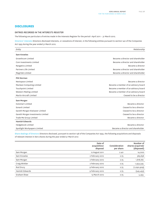# **DISCLOSURES**

# **ENTRIES RECORDED IN THE INTERESTS REGISTER**

The following are particulars of entries made in the Interests Register for the period 1 April 2011 – 31 March 2012.

Directors' interests Directors disclosed interests, or cessations of interest, in the following entities pursuant to section 140 of the Companies Act 1993 during the year ended 31 March 2012.

| Entity                            | Relationship                         |
|-----------------------------------|--------------------------------------|
| Sam Knowles                       |                                      |
| <b>Growthcom Limited</b>          | Became a director and shareholder    |
| Com Investments Limited           | Became a director and shareholder    |
| Rangatira Limited                 | Became a director                    |
| Partners Life Limited             | Became a director and shareholder    |
| Magritek Limited                  | Became a director and shareholder    |
| <b>Phil Norman</b>                |                                      |
| Nextspace Limited                 | Became a director                    |
| Maclean Computing Limited         | Became a member of an advisory board |
| <b>Touchpoint Limited</b>         | Became a member of an advisory board |
| Western Mailing Limited           | Became a member of an advisory board |
| Martin Aircraft Limited           | Ceased to be a director              |
| Sam Morgan                        |                                      |
| <b>Outsmart Limited</b>           | Became a director                    |
| Sonar6 Limited                    | Ceased to be a director              |
| Gareth Morgan Kiwisaver Limited   | Ceased to be a director              |
| Gareth Morgan Investments Limited | Ceased to be a director              |
| Trade Me Group Limited            | Became a director                    |
| <b>Hamish Edwards</b>             |                                      |
| Hedgebook Limited                 | Became a director                    |
| Spotlight Workpapers Limited      | Became a director and shareholder    |

Share dealings of Directors Directors disclosed, pursuant to section 148 of the Companies Act 1993, the following acquisitions and disposals of relevant interest in Xero shares during the year ended 31 March 2012

|                | Date of<br>acquisition/<br>disposal | Consideration<br>per share | Number of<br>shares acquired/<br>(disposed) |
|----------------|-------------------------------------|----------------------------|---------------------------------------------|
| Sam Morgan     | 12 August 2011                      | 2.40                       | 14,000                                      |
| Sam Knowles    | 2 February 2012                     | 2.75                       | 363,636                                     |
| Sam Morgan     | 2 February 2012                     | 2.75                       | 1,818,182                                   |
| Craig Winkler  | 2 February 2012                     | 2.75                       | 1,454,545                                   |
| Rod Drury      | 9 February 2012                     | 2.75                       | (1,090,909)                                 |
| Hamish Edwards | 9 February 2012                     | 2.75                       | (545, 455)                                  |
| Graham Shaw    | 13 March 2012                       | 2.75                       | 5,455                                       |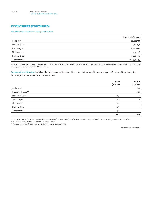# **DISCLOSURES (CONTINUED)**

### Shareholdings of Directors as at 31 March 2012

|                    | Number of shares |
|--------------------|------------------|
| Rod Drury          | 22,553,113       |
| Sam Knowles        | 569,191          |
| Sam Morgan         | 6,122,609        |
| Phil Norman        | 505,546          |
| <b>Graham Shaw</b> | 1,336,010        |
| Craig Winkler      | 20,954,545       |

*An Unsecured loan was provided to Mr Norman in the year ended 31 March 2008 to purchase shares in Xero at \$1.00 per share. Simple interest is repayable at a rate of 4% per annum, with the loan being repayable in June 2012.*

Remuneration of Directors Details of the total remuneration of, and the value of other benefits received by each Director of Xero during the financial year ended 31 March 2012 are as follows:

|                  | Fees<br>$(s$ ooos $)$    | Salary<br>$(s$ ooos $)$  |
|------------------|--------------------------|--------------------------|
| Rod Drury*       | $\overline{\phantom{0}}$ | 255                      |
| Hamish Edwards** | $\overline{\phantom{0}}$ | 159                      |
| Sam Knowles***   | 47                       | $\overline{\phantom{0}}$ |
| Sam Morgan       | 40                       | $\overline{\phantom{0}}$ |
| Phil Norman      | 53                       | $\overline{\phantom{0}}$ |
| Graham Shaw      | 40                       | $\overline{\phantom{0}}$ |
| Craig Winkler    | 40                       | $\overline{\phantom{a}}$ |
|                  | 220                      | 414                      |

*\*Mr Drury is an Executive Director and receives remuneration from Xero in the form of a salary. He does not participate in the Xero Employee Restricted Share Plan. \*\*Mr Edwards ceased to be a Director on 12 December 2011.*

*\*\*\*Mr Knowles replaced Mr Norman as the Chairman on 18 November 2011.*

*Continued on next page ...*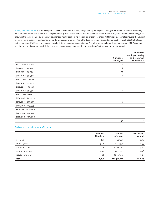Employee remuneration The following table shows the number of employees (including employees holding office as Directors of subsidiaries) whose remuneration and benefits for the year ended 31 March 2012 were within the specified bands above \$100,000. The remuneration figures shown in the table include all monetary payments actually paid during the course of the year ended 31 March 2012. They also include the value of all restricted shares provided to individuals during the same period. The table does not include amounts paid post 31 March 2012 that related to the year ended 31 March 2012, such as the short–term incentive scheme bonus. The table below includes the remuneration of Mr Drury and Mr Edwards. No director of a subsidiary receives or retains any remuneration or other benefits from Xero for acting as such.

|                      | Number of<br>employees  | Number of<br>employees acting<br>as directors of<br>subsidiaries |
|----------------------|-------------------------|------------------------------------------------------------------|
| $$100,000 - 109,999$ | 11                      |                                                                  |
| \$110,000 - 119,999  | 8                       |                                                                  |
| $$120,000 - 129,999$ | 10                      |                                                                  |
| \$130,000 - 139,999  | $\overline{2}$          |                                                                  |
| $$140,000 - 149,999$ | $\overline{\mathbf{c}}$ |                                                                  |
| \$150,000 - 159,999  | 5                       |                                                                  |
| $$160,000 - 169,999$ | $\mathbf{1}$            |                                                                  |
| \$170,000 - 179,999  | $\overline{\mathbf{c}}$ |                                                                  |
| \$190,000 - 199,000  | $\mathbf{1}$            |                                                                  |
| \$200,000 - 209,999  | $\mathbf{1}$            |                                                                  |
| $$250,000 - 259,999$ | 3                       |                                                                  |
| $$260,000 - 269,999$ | $\mathbf{1}$            |                                                                  |
| $$300,000 - 309,999$ | $\mathbf{1}$            | 1                                                                |
| $$370,000 - 379,999$ | $\mathbf{1}$            | 1                                                                |
| $$420,000 - 429,000$ | $\mathbf{1}$            |                                                                  |
|                      | 50                      | 2                                                                |

# Analysis of shareholding as at 16 May 2012

|                  | Number<br>of holders | Number<br>of shares | % of issued<br>capital |
|------------------|----------------------|---------------------|------------------------|
| $1 - 1,000$      | 627                  | 357,247             | 0.34                   |
| $1,001 - 5,000$  | 940                  | 2,534,352           | 2.37                   |
| $5,001 - 10,000$ | 556                  | 4,056,067           | 3.80                   |
| 10,001 - 100,000 | 602                  | 13,327,113          | 12.48                  |
| 100,001 and over | 56                   | 86,507,441          | 81.01                  |
| Total            | 2,781                | 106,782,220         | 100.00                 |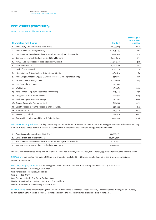# **DISCLOSURES (CONTINUED)**

Twenty largest shareholders as at 16 May 2012

|                                                                                |                | <b>Percentage of</b><br>total shares |
|--------------------------------------------------------------------------------|----------------|--------------------------------------|
| Shareholder rank & name                                                        | <b>Holding</b> | on issue                             |
| Anna Drury & Kenneth Drury (Rod Drury)<br>1.                                   | 22,553,113     | 21.12                                |
| Givia Pty Limited (Craig Winkler)<br>2.                                        | 20,954,545     | 19.62                                |
| Hamish Edwards & Tineke Edwards & Andrew Finch (Hamish Edwards)<br>3.          | 6,125,632      | 5.74                                 |
| Jasmine Investment Holdings Limited (Sam Morgan)<br>4.                         | 6,122,609      | 5.73                                 |
| New Zealand Central Securities Depository Limited<br>5.                        | 4,458,640      | 4.18                                 |
| Valar Ventures LP<br>6.                                                        | 4,135,870      | 3.87                                 |
| <b>Bank of New Zealand</b><br>7.                                               | 2,177,778      | 2.04                                 |
| Nicola Wilson & David Wilson & Christoper Ritchie<br>8.                        | 1,962,819      | 1.84                                 |
| Anna Grigg & Alastair Grigg & Claymore Trustees Limited (Alastair Grigg)<br>9. | 1,351,776      | 1.27                                 |
| 10. Graham Shaw & Delwyn Shaw                                                  | 1,336,010      | 1.25                                 |
| 11. FNZ Custodians Limited                                                     | 1,201,531      | 1.13                                 |
| 12. W5 Limited                                                                 | 965,561        | 0.90                                 |
| 13. Xero Limited (Employee Restricted Share Plan)                              | 815,124        | 0.76                                 |
| 14. Craig Walker & Catherine Walker                                            | 738,898        | 0.69                                 |
| Gavin George & Jacquetta George<br>15.                                         | 630,915        | 0.59                                 |
| 16. Spence Corporate Trustee Limited                                           | 630,915        | 0.59                                 |
| Gareth Morgan & Joanne Morgan & Charles Purcell<br>17.                         | 545,455        | O.51                                 |
| Philip Norman<br>18.                                                           | 505,546        | O.47                                 |
| 19. Ravere Pty Limited                                                         | 503,636        | 0.47                                 |
| 20. Andrew Finch & Raymond Bishop & Elaine Bishop                              | 495,000        | 0.46                                 |

Substantial Security Holders According to notices given under the Securities Markets Act 1988 the following persons were Substantial Security Holders in Xero Limited as at 16 May 2012 in respect of the number of voting securities set opposite their names:

|                 | Anna Drury & Kenneth Drury (Rod Drury)                          | 22,553,113 |  |
|-----------------|-----------------------------------------------------------------|------------|--|
|                 | 2. Givia Pty Limited (Craig Winkler)                            | 20,954,545 |  |
| $\mathcal{R}$ . | Hamish Edwards & Tineke Edwards & Andrew Finch (Hamish Edwards) | 6,125,632  |  |
| 4.              | Jasmine Investment Holdings Limited (Sam Morgan)                | 6,122,609  |  |

The total number of issued voting securities of Xero Limited as at 16 May 2012 was 106,782,220 (104,099,000 after excluding Treasury Stock).

NZX Waivers Xero Limited has had no NZX waivers granted or published by NZX within or relied upon it in the 12 months immediately preceding 24 May 2012.

Subsidiary Company Directors The following people held office as Directors of subsidiary companies as at 31 March 2012: Xero (UK) Limited – Rod Drury, Gary Turner Xero Pty Limited – Rod Drury, Chris Ridd Xero Inc – Rod Drury Xero Trustee Limited – Rod Drury, Graham Shaw Max Solutions Holdings Limited – Rod Drury, Graham Shaw Max Solutions Limited – Rod Drury, Graham Shaw

Annual Meeting Xero's Annual Meeting of shareholders will be held at the Mac's Function Centre, 4 Taranaki Street, Wellington on Thursday 26 July 2012 at 4pm. A notice of Annual Meeting and Proxy Form will be circulated to shareholders in June 2012.